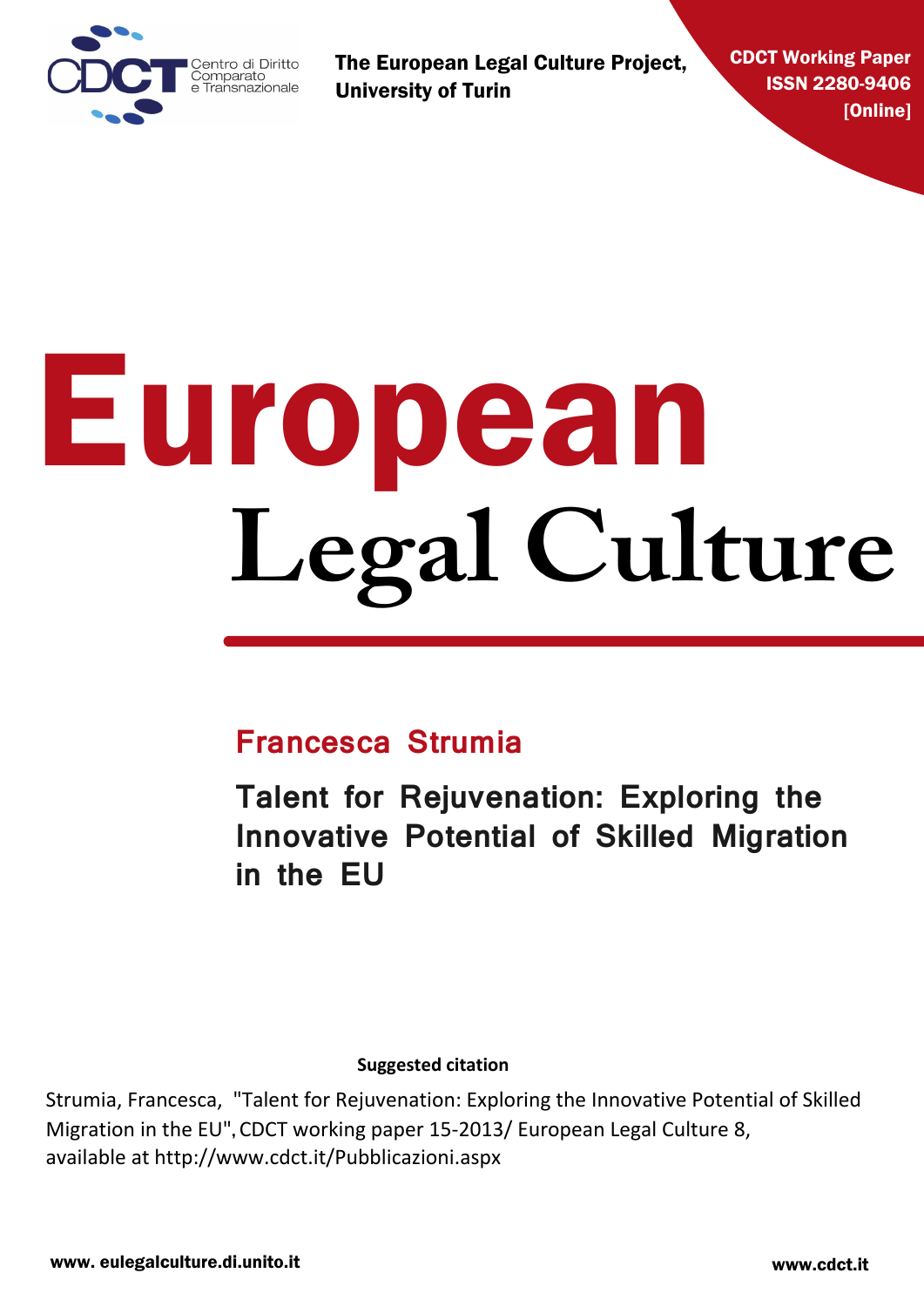

The European Legal Culture Project, University of Turin

CDCT Working Paper ISSN 2280-9406 [Online]

# European **Legal Culture**

### **Francesca Strumia**

**Talent for Rejuvenation: Exploring the Innovative Potential of Skilled Migration in the EU**

**Suggested citation**

Strumia, Francesca, "Talent for Rejuvenation: Exploring the Innovative Potential of Skilled Migration in the EU", CDCT working paper 15-2013/ European Legal Culture 8, available at http://www.cdct.it/Pubblicazioni.aspx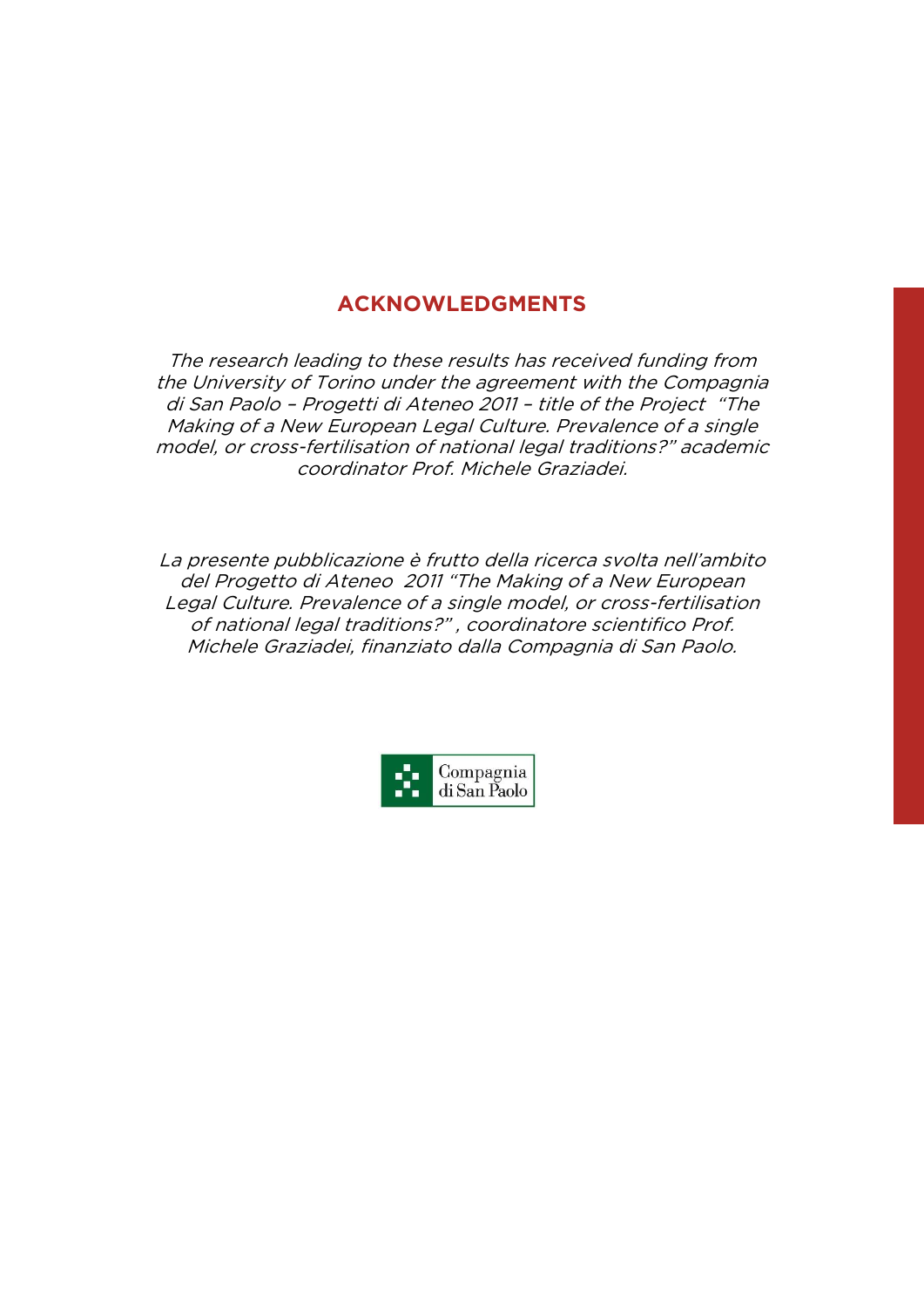## **ACKNOWLEDGMENTS**

The research leading to these results has received funding from the University of Torino under the agreement with the Compagnia di San Paolo – Progetti di Ateneo 2011 – title of the Project "The Making of a New European Legal Culture. Prevalence of a single model, or cross-fertilisation of national legal traditions?" academic coordinator Prof. Michele Graziadei.

La presente pubblicazione è frutto della ricerca svolta nell'ambito del Progetto di Ateneo 2011 "The Making of a New European Legal Culture. Prevalence of a single model, or cross-fertilisation of national legal traditions?" , coordinatore scientifico Prof. Michele Graziadei, finanziato dalla Compagnia di San Paolo.

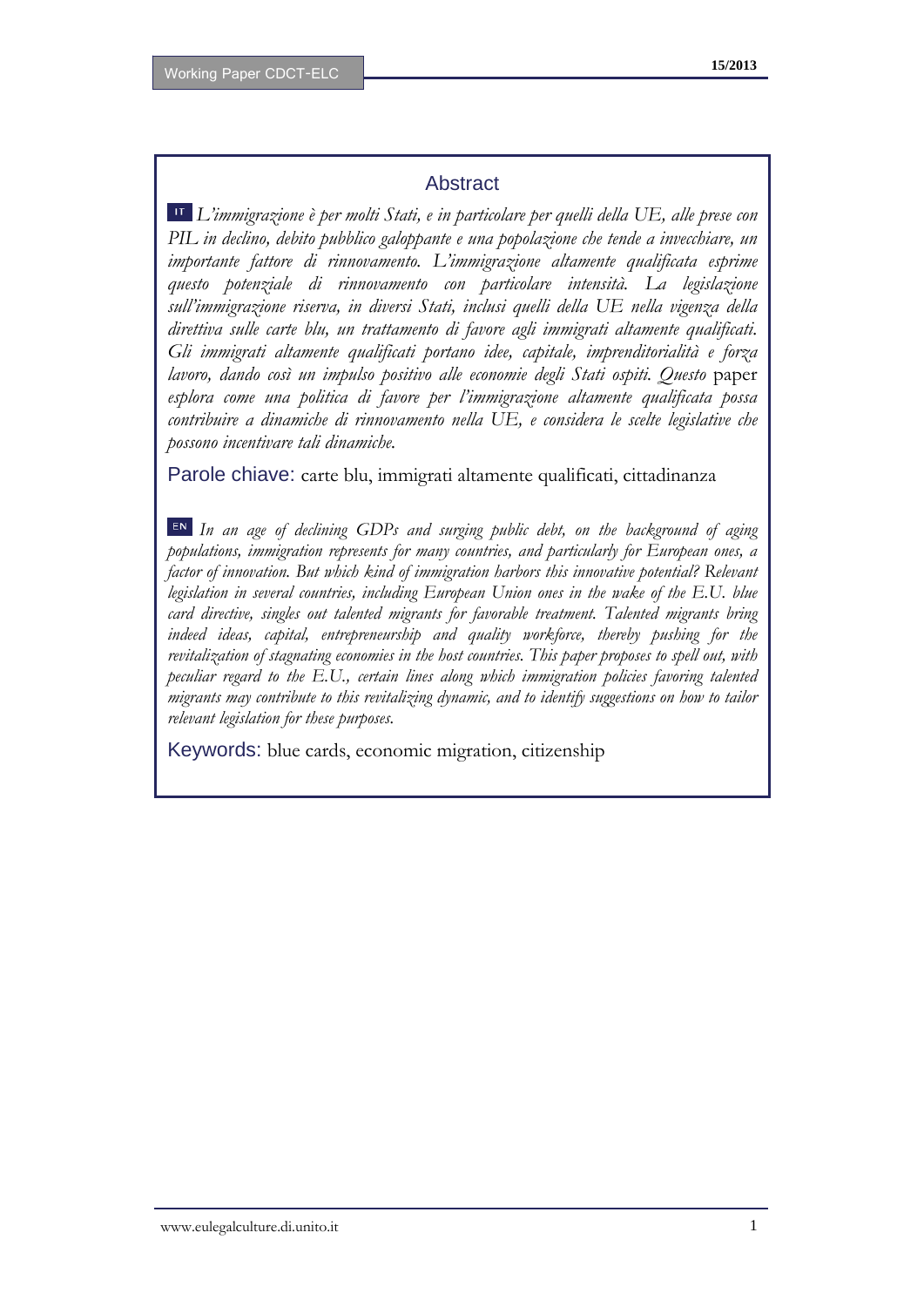#### **Abstract**

*L'immigrazione è per molti Stati, e in particolare per quelli della UE, alle prese con PIL in declino, debito pubblico galoppante e una popolazione che tende a invecchiare, un importante fattore di rinnovamento. L'immigrazione altamente qualificata esprime questo potenziale di rinnovamento con particolare intensità. La legislazione sull'immigrazione riserva, in diversi Stati, inclusi quelli della UE nella vigenza della direttiva sulle carte blu, un trattamento di favore agli immigrati altamente qualificati. Gli immigrati altamente qualificati portano idee, capitale, imprenditorialità e forza lavoro, dando così un impulso positivo alle economie degli Stati ospiti. Questo* paper *esplora come una politica di favore per l'immigrazione altamente qualificata possa contribuire a dinamiche di rinnovamento nella UE, e considera le scelte legislative che possono incentivare tali dinamiche.* 

Parole chiave: carte blu, immigrati altamente qualificati, cittadinanza

*In an age of declining GDPs and surging public debt, on the background of aging populations, immigration represents for many countries, and particularly for European ones, a factor of innovation. But which kind of immigration harbors this innovative potential? Relevant legislation in several countries, including European Union ones in the wake of the E.U. blue card directive, singles out talented migrants for favorable treatment. Talented migrants bring indeed ideas, capital, entrepreneurship and quality workforce, thereby pushing for the revitalization of stagnating economies in the host countries. This paper proposes to spell out, with peculiar regard to the E.U., certain lines along which immigration policies favoring talented migrants may contribute to this revitalizing dynamic, and to identify suggestions on how to tailor relevant legislation for these purposes.*

Keywords: blue cards, economic migration, citizenship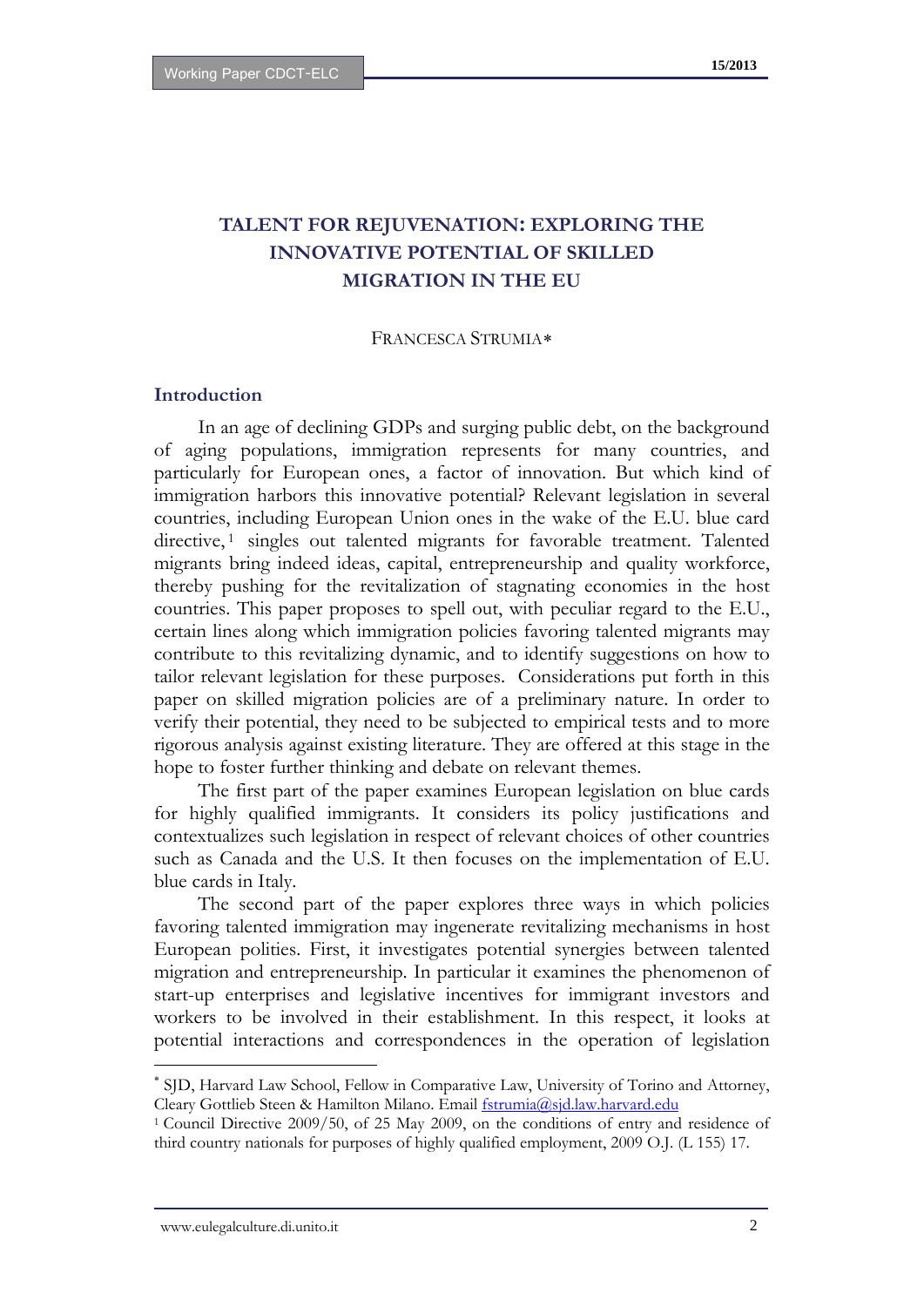#### **TALENT FOR REJUVENATION: EXPLORING THE INNOVATIVE POTENTIAL OF SKILLED MIGRATION IN THE EU**

#### FRANCESCA STRUMIA

#### **Introduction**

In an age of declining GDPs and surging public debt, on the background of aging populations, immigration represents for many countries, and particularly for European ones, a factor of innovation. But which kind of immigration harbors this innovative potential? Relevant legislation in several countries, including European Union ones in the wake of the E.U. blue card directive,<sup>[1](#page-3-1)</sup> singles out talented migrants for favorable treatment. Talented migrants bring indeed ideas, capital, entrepreneurship and quality workforce, thereby pushing for the revitalization of stagnating economies in the host countries. This paper proposes to spell out, with peculiar regard to the E.U., certain lines along which immigration policies favoring talented migrants may contribute to this revitalizing dynamic, and to identify suggestions on how to tailor relevant legislation for these purposes. Considerations put forth in this paper on skilled migration policies are of a preliminary nature. In order to verify their potential, they need to be subjected to empirical tests and to more rigorous analysis against existing literature. They are offered at this stage in the hope to foster further thinking and debate on relevant themes.

The first part of the paper examines European legislation on blue cards for highly qualified immigrants. It considers its policy justifications and contextualizes such legislation in respect of relevant choices of other countries such as Canada and the U.S. It then focuses on the implementation of E.U. blue cards in Italy.

The second part of the paper explores three ways in which policies favoring talented immigration may ingenerate revitalizing mechanisms in host European polities. First, it investigates potential synergies between talented migration and entrepreneurship. In particular it examines the phenomenon of start-up enterprises and legislative incentives for immigrant investors and workers to be involved in their establishment. In this respect, it looks at potential interactions and correspondences in the operation of legislation

<span id="page-3-2"></span><span id="page-3-0"></span> SJD, Harvard Law School, Fellow in Comparative Law, University of Torino and Attorney, Cleary Gottlieb Steen & Hamilton Milano. Email <u>fstrumia@sjd.law.harvard.edu</u><br><sup>1</sup> Council Directive 2009/50, of 25 May 2009, on the conditions of entry and residence of

<span id="page-3-1"></span>third country nationals for purposes of highly qualified employment, 2009 O.J. (L 155) 17.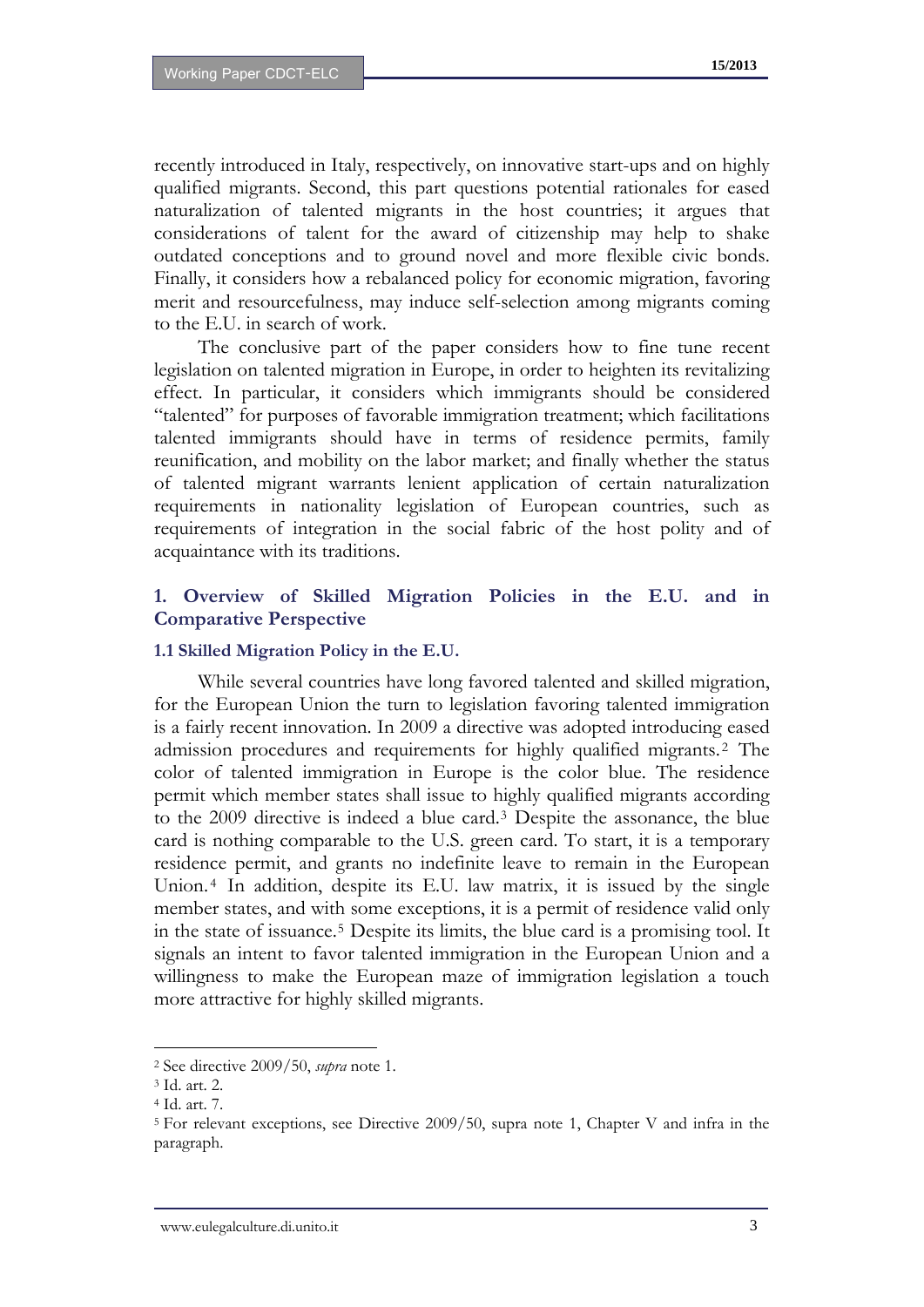recently introduced in Italy, respectively, on innovative start-ups and on highly qualified migrants. Second, this part questions potential rationales for eased naturalization of talented migrants in the host countries; it argues that considerations of talent for the award of citizenship may help to shake outdated conceptions and to ground novel and more flexible civic bonds. Finally, it considers how a rebalanced policy for economic migration, favoring merit and resourcefulness, may induce self-selection among migrants coming to the E.U. in search of work.

The conclusive part of the paper considers how to fine tune recent legislation on talented migration in Europe, in order to heighten its revitalizing effect. In particular, it considers which immigrants should be considered "talented" for purposes of favorable immigration treatment; which facilitations talented immigrants should have in terms of residence permits, family reunification, and mobility on the labor market; and finally whether the status of talented migrant warrants lenient application of certain naturalization requirements in nationality legislation of European countries, such as requirements of integration in the social fabric of the host polity and of acquaintance with its traditions.

#### **1. Overview of Skilled Migration Policies in the E.U. and in Comparative Perspective**

#### **1.1 Skilled Migration Policy in the E.U.**

While several countries have long favored talented and skilled migration, for the European Union the turn to legislation favoring talented immigration is a fairly recent innovation. In 2009 a directive was adopted introducing eased admission procedures and requirements for highly qualified migrants. [2](#page-3-2) The color of talented immigration in Europe is the color blue. The residence permit which member states shall issue to highly qualified migrants according to the 2009 directive is indeed a blue card.[3](#page-4-0) Despite the assonance, the blue card is nothing comparable to the U.S. green card. To start, it is a temporary residence permit, and grants no indefinite leave to remain in the European Union.<sup>[4](#page-4-1)</sup> In addition, despite its E.U. law matrix, it is issued by the single member states, and with some exceptions, it is a permit of residence valid only in the state of issuance.[5](#page-4-2) Despite its limits, the blue card is a promising tool. It signals an intent to favor talented immigration in the European Union and a willingness to make the European maze of immigration legislation a touch more attractive for highly skilled migrants.

<span id="page-4-3"></span><sup>2</sup> See directive 2009/50, *supra* note 1.

<span id="page-4-0"></span><sup>3</sup> Id. art. 2.

<sup>4</sup> Id. art. 7.

<span id="page-4-2"></span><span id="page-4-1"></span><sup>5</sup> For relevant exceptions, see Directive 2009/50, supra note 1, Chapter V and infra in the paragraph.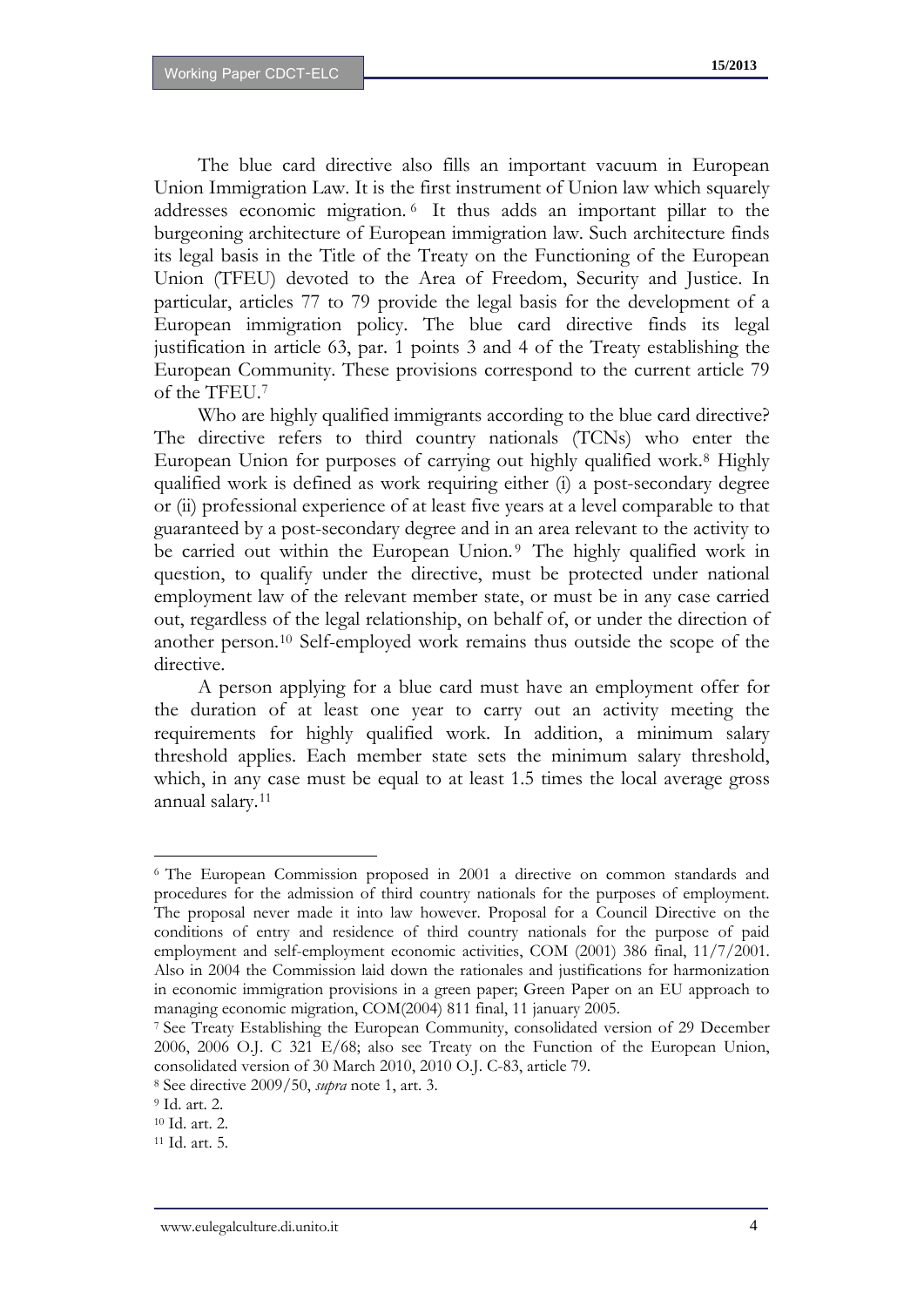The blue card directive also fills an important vacuum in European Union Immigration Law. It is the first instrument of Union law which squarely addresses economic migration. [6](#page-4-3) It thus adds an important pillar to the burgeoning architecture of European immigration law. Such architecture finds its legal basis in the Title of the Treaty on the Functioning of the European Union (TFEU) devoted to the Area of Freedom, Security and Justice. In particular, articles 77 to 79 provide the legal basis for the development of a European immigration policy. The blue card directive finds its legal justification in article 63, par. 1 points 3 and 4 of the Treaty establishing the European Community. These provisions correspond to the current article 79 of the TFEU.[7](#page-5-0)

Who are highly qualified immigrants according to the blue card directive? The directive refers to third country nationals (TCNs) who enter the European Union for purposes of carrying out highly qualified work.[8](#page-5-1) Highly qualified work is defined as work requiring either (i) a post-secondary degree or (ii) professional experience of at least five years at a level comparable to that guaranteed by a post-secondary degree and in an area relevant to the activity to be carried out within the European Union.<sup>[9](#page-5-2)</sup> The highly qualified work in question, to qualify under the directive, must be protected under national employment law of the relevant member state, or must be in any case carried out, regardless of the legal relationship, on behalf of, or under the direction of another person.[10](#page-5-3) Self-employed work remains thus outside the scope of the directive.

A person applying for a blue card must have an employment offer for the duration of at least one year to carry out an activity meeting the requirements for highly qualified work. In addition, a minimum salary threshold applies. Each member state sets the minimum salary threshold, which, in any case must be equal to at least 1.5 times the local average gross annual salary.[11](#page-5-4)

<span id="page-5-5"></span><sup>6</sup> The European Commission proposed in 2001 a directive on common standards and procedures for the admission of third country nationals for the purposes of employment. The proposal never made it into law however. Proposal for a Council Directive on the conditions of entry and residence of third country nationals for the purpose of paid employment and self-employment economic activities, COM (2001) 386 final, 11/7/2001. Also in 2004 the Commission laid down the rationales and justifications for harmonization in economic immigration provisions in a green paper; Green Paper on an EU approach to managing economic migration, COM(2004) 811 final, 11 january 2005.<br><sup>7</sup> See Treaty Establishing the European Community, consolidated version of 29 December

<span id="page-5-0"></span><sup>2006, 2006</sup> O.J. C 321 E/68; also see Treaty on the Function of the European Union, consolidated version of 30 March 2010, 2010 O.J. C-83, article 79.

<span id="page-5-1"></span><sup>8</sup> See directive 2009/50, *supra* note 1, art. 3.

<span id="page-5-2"></span><sup>9</sup> Id. art. 2.

<span id="page-5-3"></span><sup>10</sup> Id. art. 2.

<span id="page-5-4"></span><sup>11</sup> Id. art. 5.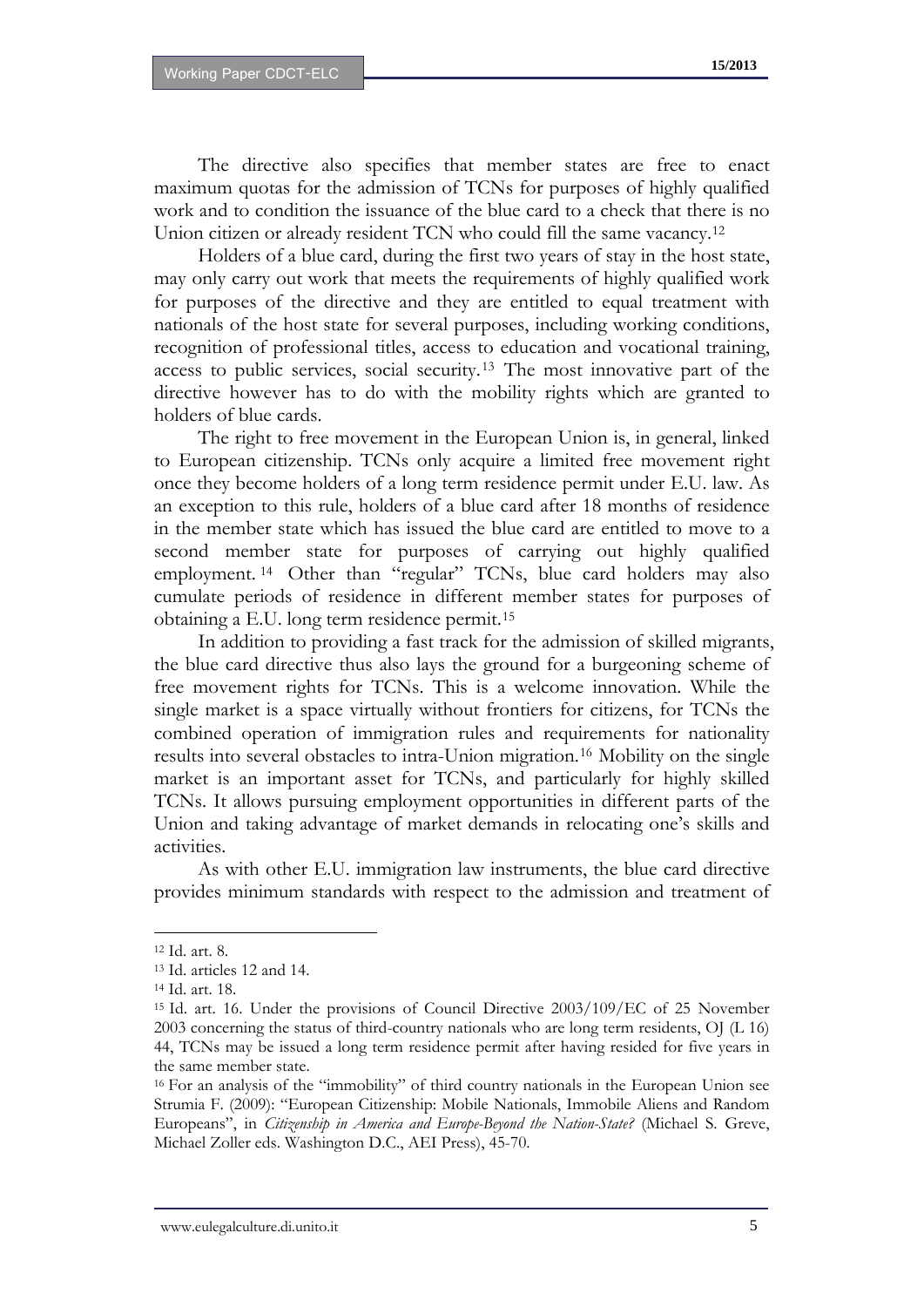The directive also specifies that member states are free to enact maximum quotas for the admission of TCNs for purposes of highly qualified work and to condition the issuance of the blue card to a check that there is no Union citizen or already resident TCN who could fill the same vacancy.<sup>[12](#page-5-5)</sup>

Holders of a blue card, during the first two years of stay in the host state, may only carry out work that meets the requirements of highly qualified work for purposes of the directive and they are entitled to equal treatment with nationals of the host state for several purposes, including working conditions, recognition of professional titles, access to education and vocational training, access to public services, social security.[13](#page-6-0) The most innovative part of the directive however has to do with the mobility rights which are granted to holders of blue cards.

The right to free movement in the European Union is, in general, linked to European citizenship. TCNs only acquire a limited free movement right once they become holders of a long term residence permit under E.U. law. As an exception to this rule, holders of a blue card after 18 months of residence in the member state which has issued the blue card are entitled to move to a second member state for purposes of carrying out highly qualified employment.<sup>[14](#page-6-1)</sup> Other than "regular" TCNs, blue card holders may also cumulate periods of residence in different member states for purposes of obtaining a E.U. long term residence permit.[15](#page-6-2)

In addition to providing a fast track for the admission of skilled migrants, the blue card directive thus also lays the ground for a burgeoning scheme of free movement rights for TCNs. This is a welcome innovation. While the single market is a space virtually without frontiers for citizens, for TCNs the combined operation of immigration rules and requirements for nationality results into several obstacles to intra-Union migration.[16](#page-6-3) Mobility on the single market is an important asset for TCNs, and particularly for highly skilled TCNs. It allows pursuing employment opportunities in different parts of the Union and taking advantage of market demands in relocating one's skills and activities.

As with other E.U. immigration law instruments, the blue card directive provides minimum standards with respect to the admission and treatment of

<span id="page-6-4"></span><sup>12</sup> Id. art. 8.

<span id="page-6-0"></span><sup>13</sup> Id. articles 12 and 14.

<span id="page-6-1"></span><sup>14</sup> Id. art. 18.

<span id="page-6-2"></span><sup>15</sup> Id. art. 16. Under the provisions of Council Directive 2003/109/EC of 25 November 2003 concerning the status of third-country nationals who are long term residents, OJ (L 16) 44, TCNs may be issued a long term residence permit after having resided for five years in the same member state.

<span id="page-6-3"></span><sup>16</sup> For an analysis of the "immobility" of third country nationals in the European Union see Strumia F. (2009): "European Citizenship: Mobile Nationals, Immobile Aliens and Random Europeans", in *Citizenship in America and Europe-Beyond the Nation-State?* (Michael S. Greve, Michael Zoller eds. Washington D.C., AEI Press), 45-70.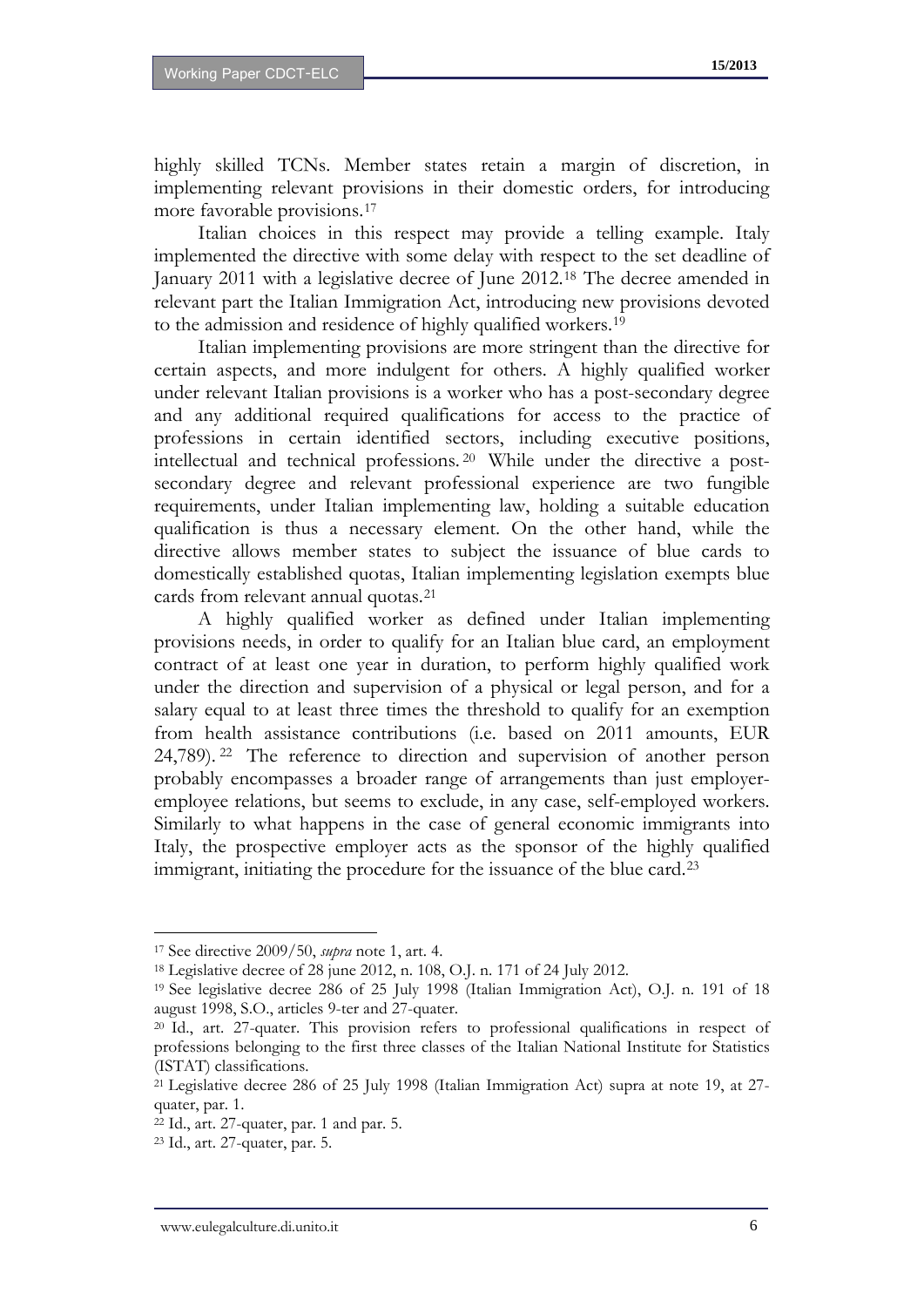highly skilled TCNs. Member states retain a margin of discretion, in implementing relevant provisions in their domestic orders, for introducing more favorable provisions.[17](#page-6-4)

Italian choices in this respect may provide a telling example. Italy implemented the directive with some delay with respect to the set deadline of January 2011 with a legislative decree of June 2012[.18](#page-7-0) The decree amended in relevant part the Italian Immigration Act, introducing new provisions devoted to the admission and residence of highly qualified workers.[19](#page-7-1)

Italian implementing provisions are more stringent than the directive for certain aspects, and more indulgent for others. A highly qualified worker under relevant Italian provisions is a worker who has a post-secondary degree and any additional required qualifications for access to the practice of professions in certain identified sectors, including executive positions, intellectual and technical professions. [20](#page-7-2) While under the directive a postsecondary degree and relevant professional experience are two fungible requirements, under Italian implementing law, holding a suitable education qualification is thus a necessary element. On the other hand, while the directive allows member states to subject the issuance of blue cards to domestically established quotas, Italian implementing legislation exempts blue cards from relevant annual quotas.[21](#page-7-3)

A highly qualified worker as defined under Italian implementing provisions needs, in order to qualify for an Italian blue card, an employment contract of at least one year in duration, to perform highly qualified work under the direction and supervision of a physical or legal person, and for a salary equal to at least three times the threshold to qualify for an exemption from health assistance contributions (i.e. based on 2011 amounts, EUR 24,789). [22](#page-7-4) The reference to direction and supervision of another person probably encompasses a broader range of arrangements than just employeremployee relations, but seems to exclude, in any case, self-employed workers. Similarly to what happens in the case of general economic immigrants into Italy, the prospective employer acts as the sponsor of the highly qualified immigrant, initiating the procedure for the issuance of the blue card.[23](#page-7-5)

<sup>17</sup> See directive 2009/50, *supra* note 1, art. 4.

<span id="page-7-0"></span><sup>18</sup> Legislative decree of 28 june 2012, n. 108, O.J. n. 171 of 24 July 2012.

<span id="page-7-6"></span><span id="page-7-1"></span><sup>19</sup> See legislative decree 286 of 25 July 1998 (Italian Immigration Act), O.J. n. 191 of 18 august 1998, S.O., articles 9-ter and 27-quater.

<span id="page-7-2"></span><sup>20</sup> Id., art. 27-quater. This provision refers to professional qualifications in respect of professions belonging to the first three classes of the Italian National Institute for Statistics (ISTAT) classifications.

<span id="page-7-3"></span><sup>21</sup> Legislative decree 286 of 25 July 1998 (Italian Immigration Act) supra at note 19, at 27 quater, par. 1.

<span id="page-7-4"></span><sup>22</sup> Id., art. 27-quater, par. 1 and par. 5.

<span id="page-7-5"></span><sup>23</sup> Id., art. 27-quater, par. 5.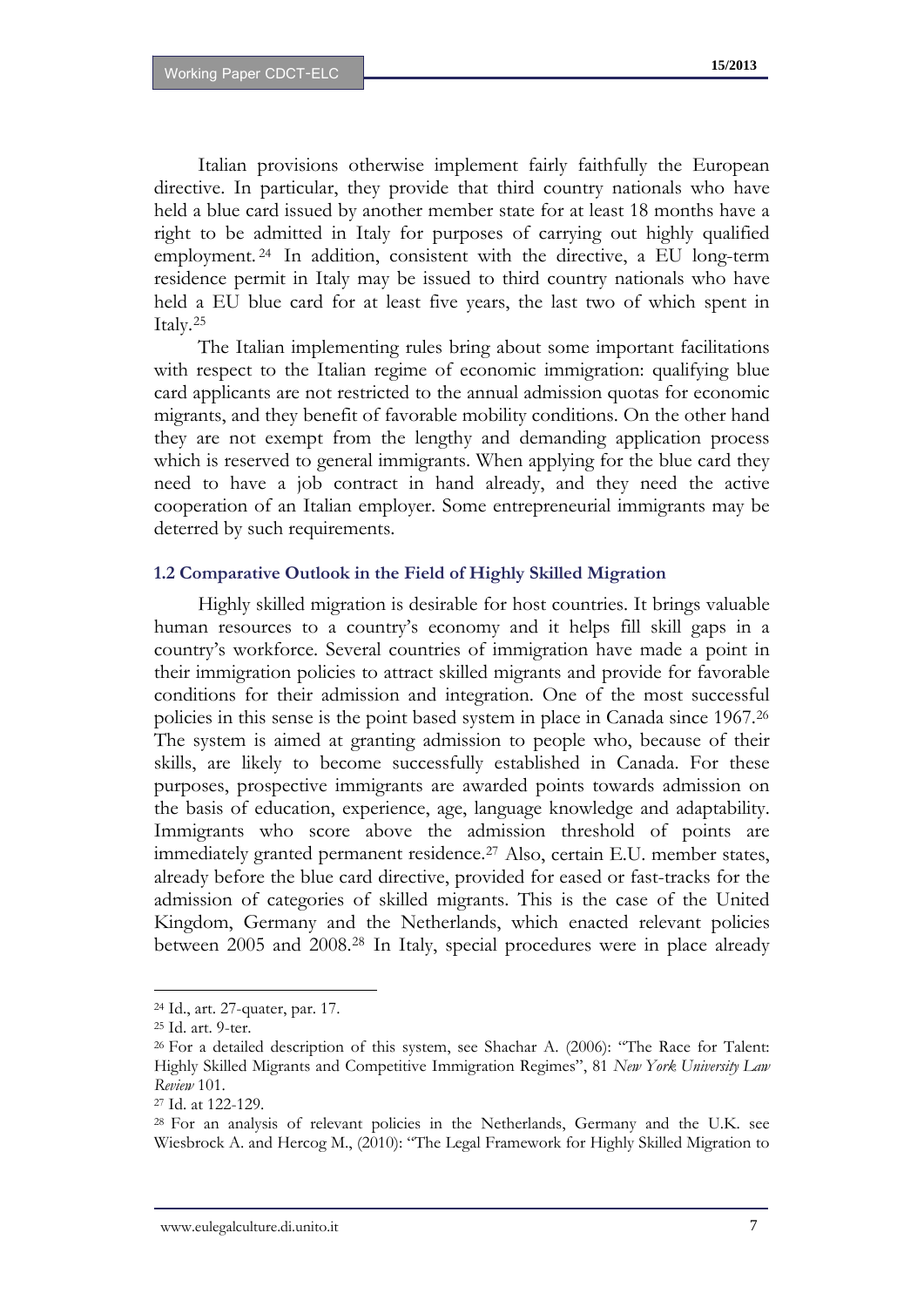Italian provisions otherwise implement fairly faithfully the European directive. In particular, they provide that third country nationals who have held a blue card issued by another member state for at least 18 months have a right to be admitted in Italy for purposes of carrying out highly qualified employment. [24](#page-7-6) In addition, consistent with the directive, a EU long-term residence permit in Italy may be issued to third country nationals who have held a EU blue card for at least five years, the last two of which spent in Italy.[25](#page-8-0)

The Italian implementing rules bring about some important facilitations with respect to the Italian regime of economic immigration: qualifying blue card applicants are not restricted to the annual admission quotas for economic migrants, and they benefit of favorable mobility conditions. On the other hand they are not exempt from the lengthy and demanding application process which is reserved to general immigrants. When applying for the blue card they need to have a job contract in hand already, and they need the active cooperation of an Italian employer. Some entrepreneurial immigrants may be deterred by such requirements.

#### **1.2 Comparative Outlook in the Field of Highly Skilled Migration**

Highly skilled migration is desirable for host countries. It brings valuable human resources to a country's economy and it helps fill skill gaps in a country's workforce. Several countries of immigration have made a point in their immigration policies to attract skilled migrants and provide for favorable conditions for their admission and integration. One of the most successful policies in this sense is the point based system in place in Canada since 1967.[26](#page-8-1) The system is aimed at granting admission to people who, because of their skills, are likely to become successfully established in Canada. For these purposes, prospective immigrants are awarded points towards admission on the basis of education, experience, age, language knowledge and adaptability. Immigrants who score above the admission threshold of points are immediately granted permanent residence.<sup>[27](#page-8-2)</sup> Also, certain E.U. member states, already before the blue card directive, provided for eased or fast-tracks for the admission of categories of skilled migrants. This is the case of the United Kingdom, Germany and the Netherlands, which enacted relevant policies between 2005 and 2008.[28](#page-8-3) In Italy, special procedures were in place already

<span id="page-8-4"></span><sup>24</sup> Id., art. 27-quater, par. 17.

<span id="page-8-0"></span><sup>25</sup> Id. art. 9-ter.

<span id="page-8-1"></span><sup>26</sup> For a detailed description of this system, see Shachar A. (2006): "The Race for Talent: Highly Skilled Migrants and Competitive Immigration Regimes", 81 *New York University Law Review* 101.

<span id="page-8-2"></span><sup>27</sup> Id. at 122-129.

<span id="page-8-3"></span><sup>28</sup> For an analysis of relevant policies in the Netherlands, Germany and the U.K. see Wiesbrock A. and Hercog M., (2010): "The Legal Framework for Highly Skilled Migration to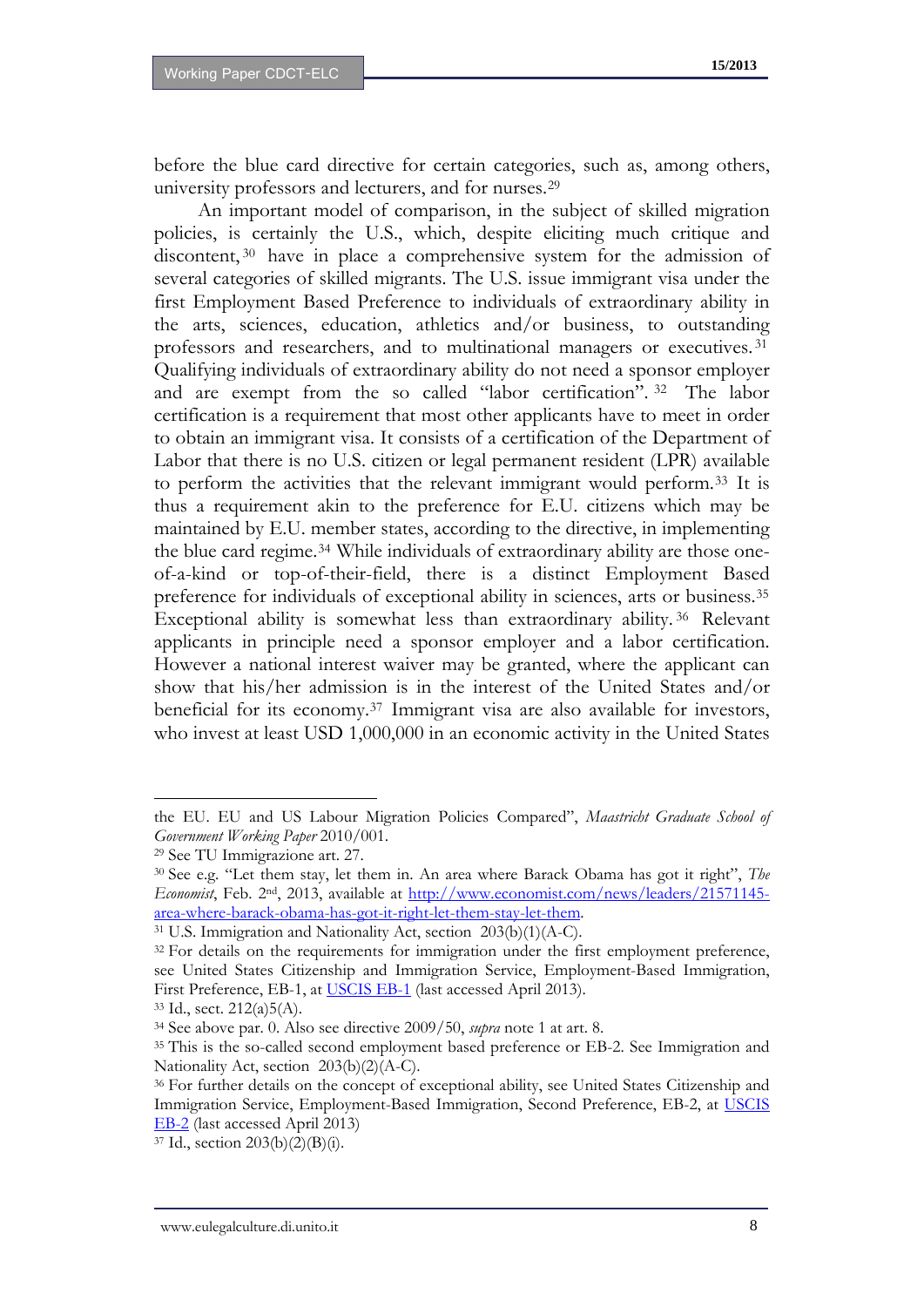before the blue card directive for certain categories, such as, among others, university professors and lecturers, and for nurses.[29](#page-8-4)

An important model of comparison, in the subject of skilled migration policies, is certainly the U.S., which, despite eliciting much critique and discontent,<sup>[30](#page-9-0)</sup> have in place a comprehensive system for the admission of several categories of skilled migrants. The U.S. issue immigrant visa under the first Employment Based Preference to individuals of extraordinary ability in the arts, sciences, education, athletics and/or business, to outstanding professors and researchers, and to multinational managers or executives. [31](#page-9-1) Qualifying individuals of extraordinary ability do not need a sponsor employer and are exempt from the so called "labor certification". [32](#page-9-2) The labor certification is a requirement that most other applicants have to meet in order to obtain an immigrant visa. It consists of a certification of the Department of Labor that there is no U.S. citizen or legal permanent resident (LPR) available to perform the activities that the relevant immigrant would perform.[33](#page-9-3) It is thus a requirement akin to the preference for E.U. citizens which may be maintained by E.U. member states, according to the directive, in implementing the blue card regime.<sup>[34](#page-9-4)</sup> While individuals of extraordinary ability are those oneof-a-kind or top-of-their-field, there is a distinct Employment Based preference for individuals of exceptional ability in sciences, arts or business.[35](#page-9-5) Exceptional ability is somewhat less than extraordinary ability. [36](#page-9-6) Relevant applicants in principle need a sponsor employer and a labor certification. However a national interest waiver may be granted, where the applicant can show that his/her admission is in the interest of the United States and/or beneficial for its economy.[37](#page-9-7) Immigrant visa are also available for investors, who invest at least USD 1,000,000 in an economic activity in the United States

the EU. EU and US Labour Migration Policies Compared", *Maastricht Graduate School of Government Working Paper* 2010/001.

<span id="page-9-8"></span><sup>29</sup> See TU Immigrazione art. 27.

<span id="page-9-0"></span><sup>30</sup> See e.g. "Let them stay, let them in. An area where Barack Obama has got it right", *The Economist*, Feb. 2nd, 2013, available at [http://www.economist.com/news/leaders/21571145](http://www.economist.com/news/leaders/21571145-area-where-barack-obama-has-got-it-right-let-them-stay-let-them) [area-where-barack-obama-has-got-it-right-let-them-stay-let-them](http://www.economist.com/news/leaders/21571145-area-where-barack-obama-has-got-it-right-let-them-stay-let-them). 31 U.S. Immigration and Nationality Act, section 203(b)(1)(A-C).

<span id="page-9-2"></span><span id="page-9-1"></span><sup>&</sup>lt;sup>32</sup> For details on the requirements for immigration under the first employment preference, see United States Citizenship and Immigration Service, Employment-Based Immigration, First Preference, EB-1, at [USCIS EB-1](http://www.uscis.gov/portal/site/uscis/menuitem.eb1d4c2a3e5b9ac89243c6a7543f6d1a/?vgnextoid=17b983453d4a3210VgnVCM100000b92ca60aRCRD&vgnextchannel=17b983453d4a3210VgnVCM100000b92ca60aRCRD) (last accessed April 2013).

<span id="page-9-3"></span><sup>33</sup> Id., sect. 212(a)5(A).

<span id="page-9-4"></span><sup>34</sup> See above par. 0. Also see directive 2009/50, *supra* note 1 at art. 8.

<span id="page-9-5"></span><sup>&</sup>lt;sup>35</sup> This is the so-called second employment based preference or EB-2. See Immigration and Nationality Act, section 203(b)(2)(A-C).

<span id="page-9-6"></span><sup>36</sup> For further details on the concept of exceptional ability, see United States Citizenship and Immigration Service, Employment-Based Immigration, Second Preference, EB-2, at [USCIS](http://www.uscis.gov/portal/site/uscis/menuitem.eb1d4c2a3e5b9ac89243c6a7543f6d1a/?vgnextoid=816a83453d4a3210VgnVCM100000b92ca60aRCRD&vgnextchannel=816a83453d4a3210VgnVCM100000b92ca60aRCRD%20)  [EB-2](http://www.uscis.gov/portal/site/uscis/menuitem.eb1d4c2a3e5b9ac89243c6a7543f6d1a/?vgnextoid=816a83453d4a3210VgnVCM100000b92ca60aRCRD&vgnextchannel=816a83453d4a3210VgnVCM100000b92ca60aRCRD%20) (last accessed April 2013)

<span id="page-9-7"></span> $37$  Id., section  $203(b)(2)(B)(i)$ .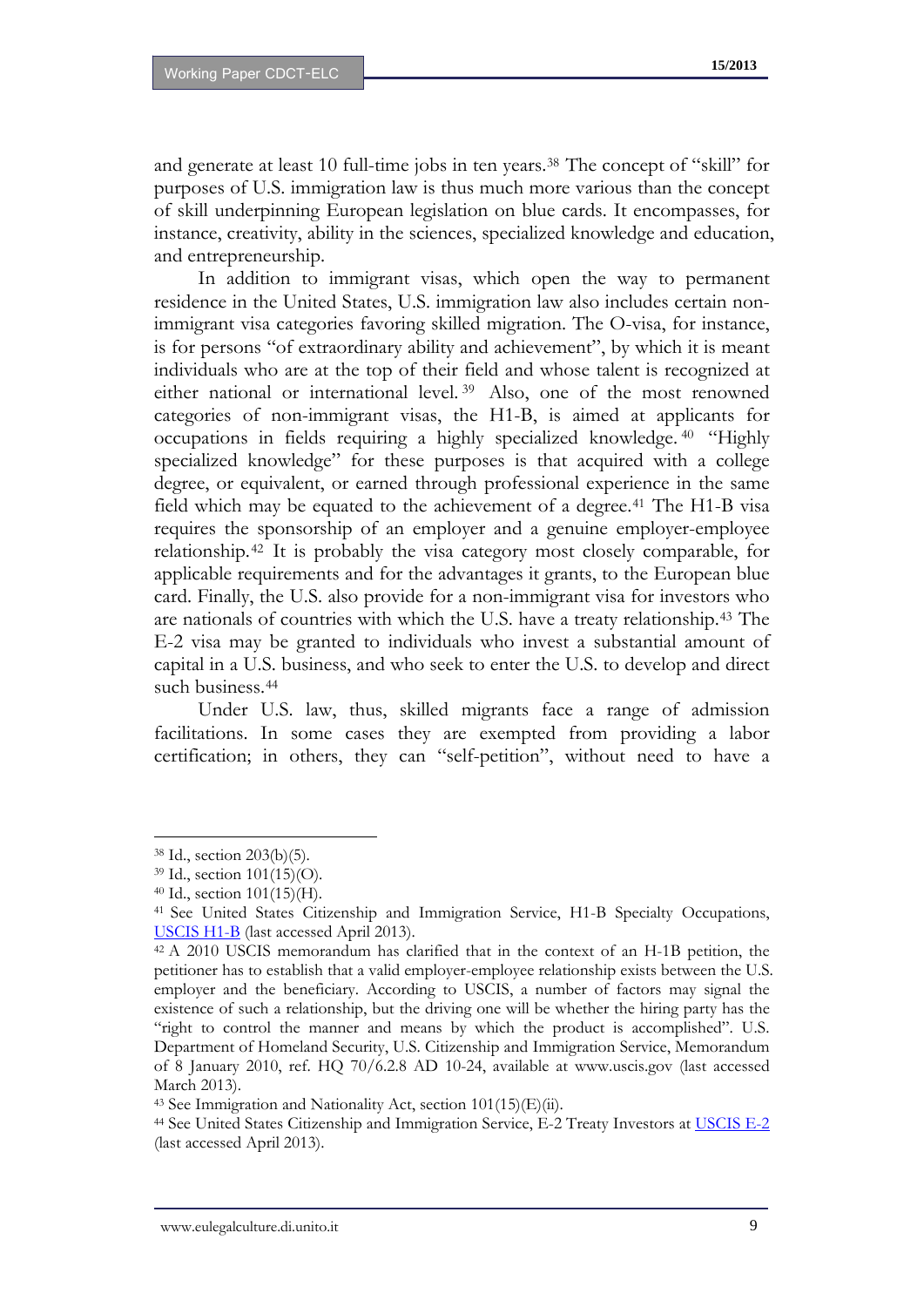and generate at least 10 full-time jobs in ten years.[38](#page-9-8) The concept of "skill" for purposes of U.S. immigration law is thus much more various than the concept of skill underpinning European legislation on blue cards. It encompasses, for instance, creativity, ability in the sciences, specialized knowledge and education, and entrepreneurship.

In addition to immigrant visas, which open the way to permanent residence in the United States, U.S. immigration law also includes certain nonimmigrant visa categories favoring skilled migration. The O-visa, for instance, is for persons "of extraordinary ability and achievement", by which it is meant individuals who are at the top of their field and whose talent is recognized at either national or international level. [39](#page-10-0) Also, one of the most renowned categories of non-immigrant visas, the H1-B, is aimed at applicants for occupations in fields requiring a highly specialized knowledge. [40](#page-10-1) "Highly specialized knowledge" for these purposes is that acquired with a college degree, or equivalent, or earned through professional experience in the same field which may be equated to the achievement of a degree.<sup>[41](#page-10-2)</sup> The H1-B visa requires the sponsorship of an employer and a genuine employer-employee relationship.[42](#page-10-3) It is probably the visa category most closely comparable, for applicable requirements and for the advantages it grants, to the European blue card. Finally, the U.S. also provide for a non-immigrant visa for investors who are nationals of countries with which the U.S. have a treaty relationship.[43](#page-10-4) The E-2 visa may be granted to individuals who invest a substantial amount of capital in a U.S. business, and who seek to enter the U.S. to develop and direct such business.<sup>[44](#page-10-5)</sup>

Under U.S. law, thus, skilled migrants face a range of admission facilitations. In some cases they are exempted from providing a labor certification; in others, they can "self-petition", without need to have a

<sup>38</sup> Id., section 203(b)(5).

<span id="page-10-0"></span><sup>39</sup> Id., section 101(15)(O).

<span id="page-10-1"></span><sup>40</sup> Id., section 101(15)(H).

<span id="page-10-6"></span><span id="page-10-2"></span><sup>41</sup> See United States Citizenship and Immigration Service, H1-B Specialty Occupations, [USCIS H1-B](http://www.uscis.gov/portal/site/uscis/menuitem.eb1d4c2a3e5b9ac89243c6a7543f6d1a/?vgnextoid=73566811264a3210VgnVCM100000b92ca60aRCRD&vgnextchannel=73566811264a3210VgnVCM100000b92ca60aRCRD) (last accessed April 2013).

<span id="page-10-3"></span><sup>42</sup> A 2010 USCIS memorandum has clarified that in the context of an H-1B petition, the petitioner has to establish that a valid employer-employee relationship exists between the U.S. employer and the beneficiary. According to USCIS, a number of factors may signal the existence of such a relationship, but the driving one will be whether the hiring party has the "right to control the manner and means by which the product is accomplished". U.S. Department of Homeland Security, U.S. Citizenship and Immigration Service, Memorandum of 8 January 2010, ref. HQ 70/6.2.8 AD 10-24, available at www.uscis.gov (last accessed March 2013).

<span id="page-10-4"></span><sup>&</sup>lt;sup>43</sup> See Immigration and Nationality Act, section  $101(15)(E)(ii)$ .

<span id="page-10-5"></span><sup>&</sup>lt;sup>44</sup> See United States Citizenship and Immigration Service, E-2 Treaty Investors at [USCIS E-2](http://www.uscis.gov/portal/site/uscis/menuitem.eb1d4c2a3e5b9ac89243c6a7543f6d1a/?vgnextoid=2ea36811264a3210VgnVCM100000b92ca60aRCRD&vgnextchannel=2ea36811264a3210VgnVCM100000b92ca60aRCRD) (last accessed April 2013).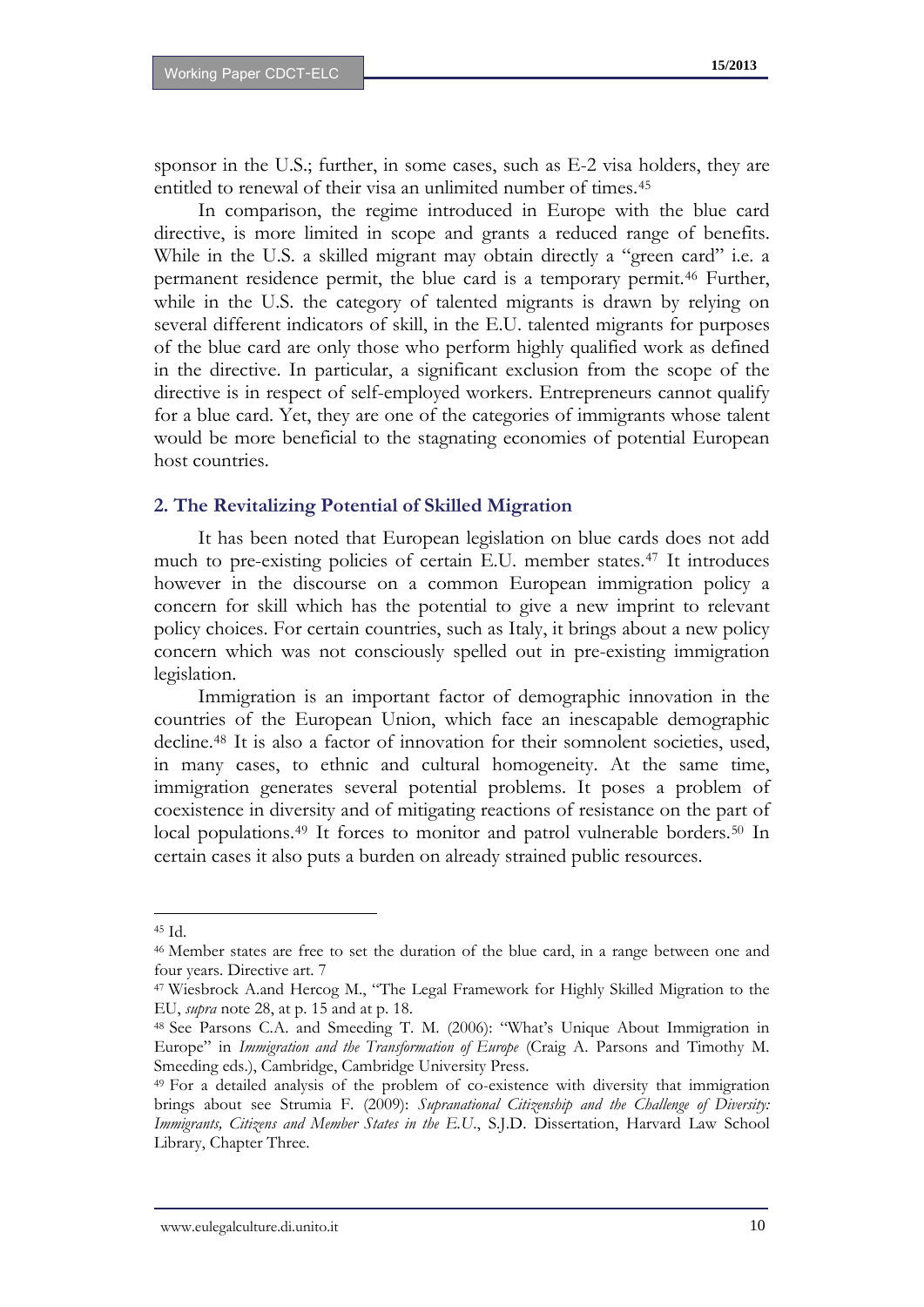sponsor in the U.S.; further, in some cases, such as E-2 visa holders, they are entitled to renewal of their visa an unlimited number of times.<sup>[45](#page-10-6)</sup>

In comparison, the regime introduced in Europe with the blue card directive, is more limited in scope and grants a reduced range of benefits. While in the U.S. a skilled migrant may obtain directly a "green card" i.e. a permanent residence permit, the blue card is a temporary permit.[46](#page-11-0) Further, while in the U.S. the category of talented migrants is drawn by relying on several different indicators of skill, in the E.U. talented migrants for purposes of the blue card are only those who perform highly qualified work as defined in the directive. In particular, a significant exclusion from the scope of the directive is in respect of self-employed workers. Entrepreneurs cannot qualify for a blue card. Yet, they are one of the categories of immigrants whose talent would be more beneficial to the stagnating economies of potential European host countries.

#### **2. The Revitalizing Potential of Skilled Migration**

It has been noted that European legislation on blue cards does not add much to pre-existing policies of certain E.U. member states.[47](#page-11-1) It introduces however in the discourse on a common European immigration policy a concern for skill which has the potential to give a new imprint to relevant policy choices. For certain countries, such as Italy, it brings about a new policy concern which was not consciously spelled out in pre-existing immigration legislation.

Immigration is an important factor of demographic innovation in the countries of the European Union, which face an inescapable demographic decline.[48](#page-11-2) It is also a factor of innovation for their somnolent societies, used, in many cases, to ethnic and cultural homogeneity. At the same time, immigration generates several potential problems. It poses a problem of coexistence in diversity and of mitigating reactions of resistance on the part of local populations.<sup>[49](#page-11-3)</sup> It forces to monitor and patrol vulnerable borders.<sup>[50](#page-11-4)</sup> In certain cases it also puts a burden on already strained public resources.

<sup>45</sup> Id.

<span id="page-11-0"></span><sup>46</sup> Member states are free to set the duration of the blue card, in a range between one and four years. Directive art. 7

<span id="page-11-4"></span><span id="page-11-1"></span><sup>47</sup> Wiesbrock A.and Hercog M., "The Legal Framework for Highly Skilled Migration to the EU, *supra* note 28, at p. 15 and at p. 18.

<span id="page-11-2"></span><sup>48</sup> See Parsons C.A. and Smeeding T. M. (2006): "What's Unique About Immigration in Europe" in *Immigration and the Transformation of Europe* (Craig A. Parsons and Timothy M. Smeeding eds.), Cambridge, Cambridge University Press.

<span id="page-11-5"></span><span id="page-11-3"></span><sup>49</sup> For a detailed analysis of the problem of co-existence with diversity that immigration brings about see Strumia F. (2009): *Supranational Citizenship and the Challenge of Diversity: Immigrants, Citizens and Member States in the E.U*., S.J.D. Dissertation, Harvard Law School Library, Chapter Three.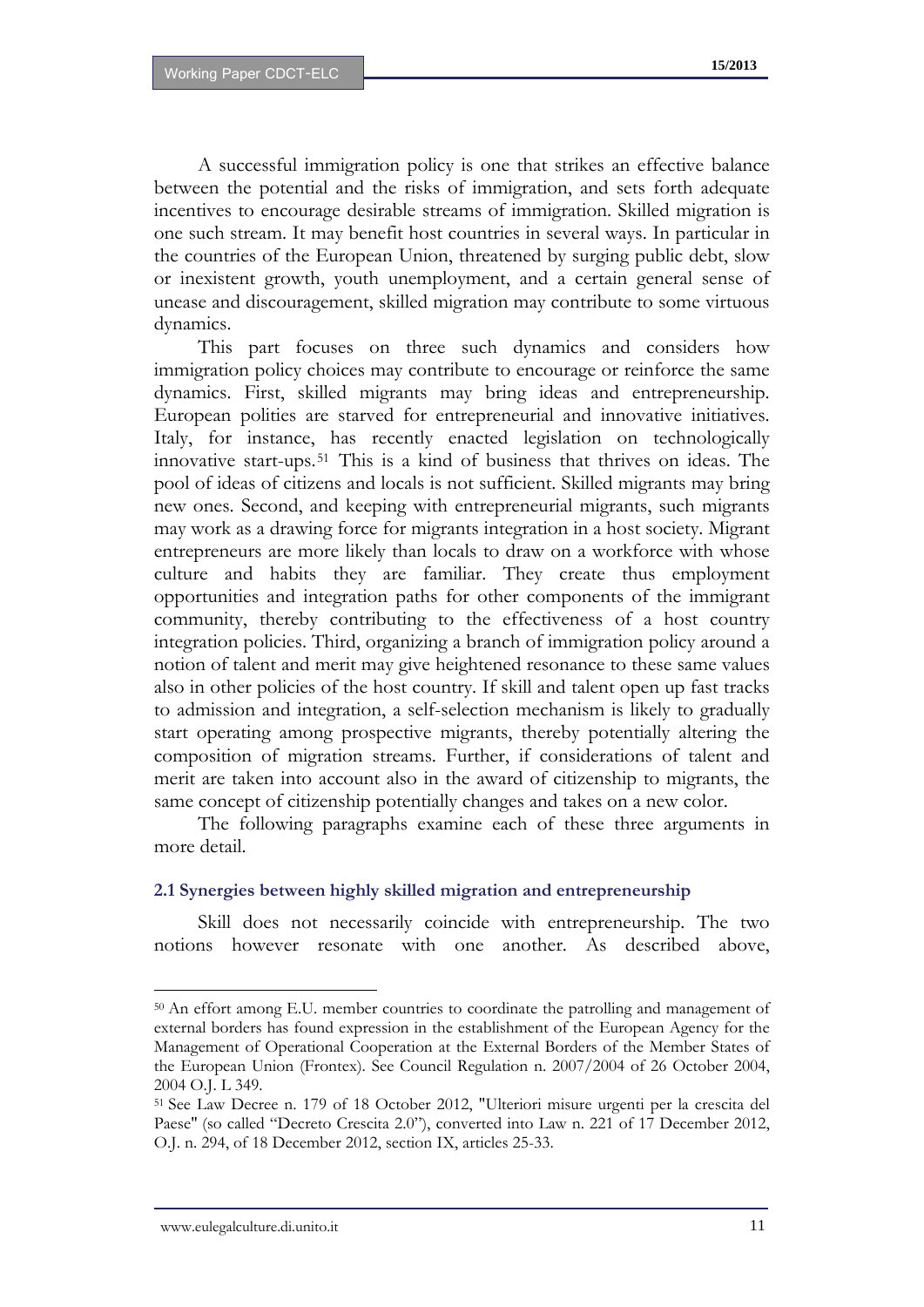A successful immigration policy is one that strikes an effective balance between the potential and the risks of immigration, and sets forth adequate incentives to encourage desirable streams of immigration. Skilled migration is one such stream. It may benefit host countries in several ways. In particular in the countries of the European Union, threatened by surging public debt, slow or inexistent growth, youth unemployment, and a certain general sense of unease and discouragement, skilled migration may contribute to some virtuous dynamics.

This part focuses on three such dynamics and considers how immigration policy choices may contribute to encourage or reinforce the same dynamics. First, skilled migrants may bring ideas and entrepreneurship. European polities are starved for entrepreneurial and innovative initiatives. Italy, for instance, has recently enacted legislation on technologically innovative start-ups.[51](#page-11-5) This is a kind of business that thrives on ideas. The pool of ideas of citizens and locals is not sufficient. Skilled migrants may bring new ones. Second, and keeping with entrepreneurial migrants, such migrants may work as a drawing force for migrants integration in a host society. Migrant entrepreneurs are more likely than locals to draw on a workforce with whose culture and habits they are familiar. They create thus employment opportunities and integration paths for other components of the immigrant community, thereby contributing to the effectiveness of a host country integration policies. Third, organizing a branch of immigration policy around a notion of talent and merit may give heightened resonance to these same values also in other policies of the host country. If skill and talent open up fast tracks to admission and integration, a self-selection mechanism is likely to gradually start operating among prospective migrants, thereby potentially altering the composition of migration streams. Further, if considerations of talent and merit are taken into account also in the award of citizenship to migrants, the same concept of citizenship potentially changes and takes on a new color.

The following paragraphs examine each of these three arguments in more detail.

#### **2.1 Synergies between highly skilled migration and entrepreneurship**

Skill does not necessarily coincide with entrepreneurship. The two notions however resonate with one another. As described above,

<span id="page-12-0"></span><sup>50</sup> An effort among E.U. member countries to coordinate the patrolling and management of external borders has found expression in the establishment of the European Agency for the Management of Operational Cooperation at the External Borders of the Member States of the European Union (Frontex). See Council Regulation n. 2007/2004 of 26 October 2004, 2004 O.J. L 349.

<sup>51</sup> See Law Decree n. 179 of 18 October 2012, "Ulteriori misure urgenti per la crescita del Paese" (so called "Decreto Crescita 2.0"), converted into Law n. 221 of 17 December 2012, O.J. n. 294, of 18 December 2012, section IX, articles 25-33.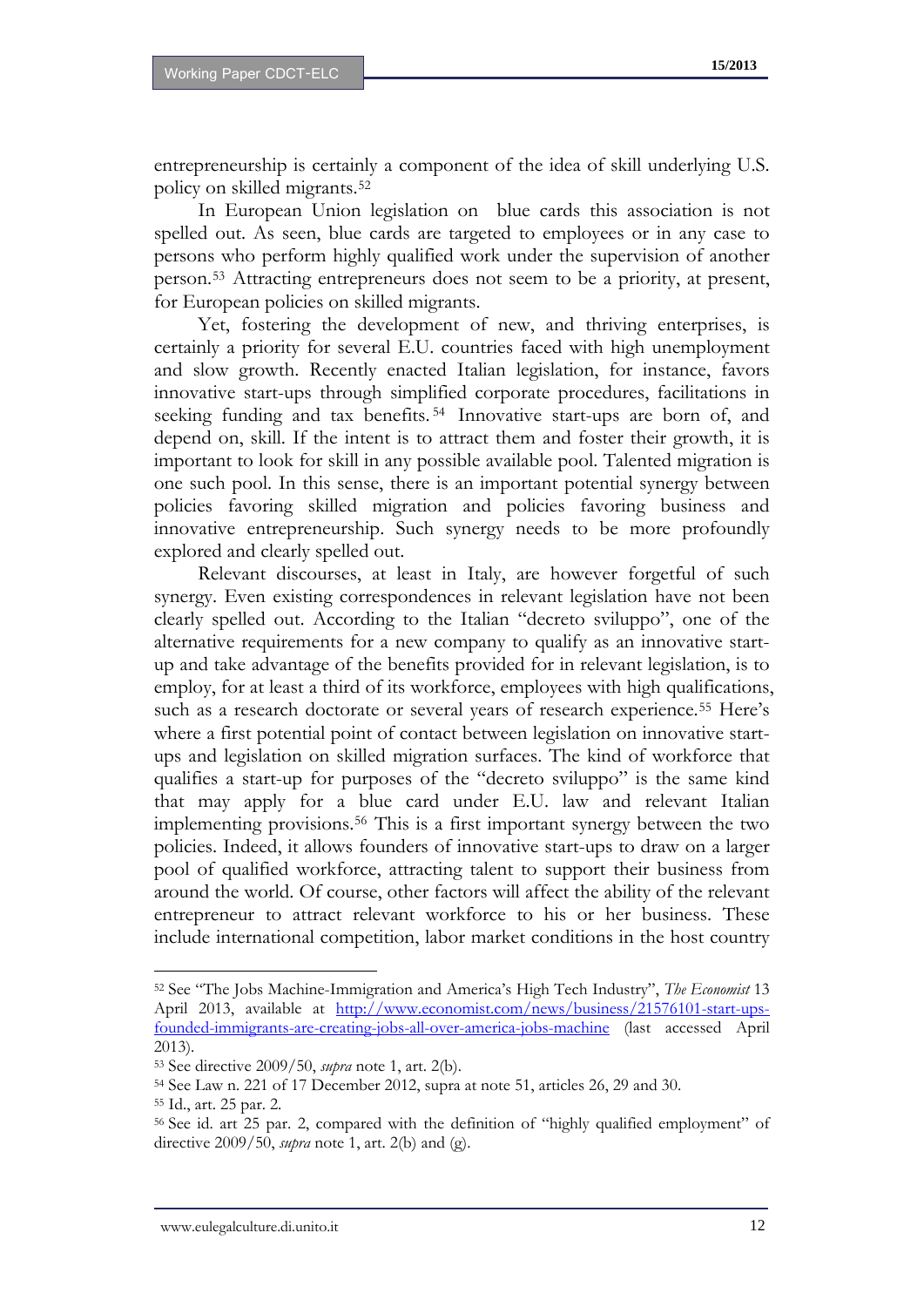entrepreneurship is certainly a component of the idea of skill underlying U.S. policy on skilled migrants.[52](#page-12-0)

In European Union legislation on blue cards this association is not spelled out. As seen, blue cards are targeted to employees or in any case to persons who perform highly qualified work under the supervision of another person.[53](#page-13-0) Attracting entrepreneurs does not seem to be a priority, at present, for European policies on skilled migrants.

Yet, fostering the development of new, and thriving enterprises, is certainly a priority for several E.U. countries faced with high unemployment and slow growth. Recently enacted Italian legislation, for instance, favors innovative start-ups through simplified corporate procedures, facilitations in seeking funding and tax benefits. [54](#page-13-1) Innovative start-ups are born of, and depend on, skill. If the intent is to attract them and foster their growth, it is important to look for skill in any possible available pool. Talented migration is one such pool. In this sense, there is an important potential synergy between policies favoring skilled migration and policies favoring business and innovative entrepreneurship. Such synergy needs to be more profoundly explored and clearly spelled out.

Relevant discourses, at least in Italy, are however forgetful of such synergy. Even existing correspondences in relevant legislation have not been clearly spelled out. According to the Italian "decreto sviluppo", one of the alternative requirements for a new company to qualify as an innovative startup and take advantage of the benefits provided for in relevant legislation, is to employ, for at least a third of its workforce, employees with high qualifications, such as a research doctorate or several years of research experience.[55](#page-13-2) Here's where a first potential point of contact between legislation on innovative startups and legislation on skilled migration surfaces. The kind of workforce that qualifies a start-up for purposes of the "decreto sviluppo" is the same kind that may apply for a blue card under E.U. law and relevant Italian implementing provisions.[56](#page-13-3) This is a first important synergy between the two policies. Indeed, it allows founders of innovative start-ups to draw on a larger pool of qualified workforce, attracting talent to support their business from around the world. Of course, other factors will affect the ability of the relevant entrepreneur to attract relevant workforce to his or her business. These include international competition, labor market conditions in the host country

<span id="page-13-4"></span><sup>52</sup> See "The Jobs Machine-Immigration and America's High Tech Industry", *The Economist* 13 April 2013, available at [http://www.economist.com/news/business/21576101-start-ups](http://www.economist.com/news/business/21576101-start-ups-founded-immigrants-are-creating-jobs-all-over-america-jobs-machine)[founded-immigrants-are-creating-jobs-all-over-america-jobs-machine](http://www.economist.com/news/business/21576101-start-ups-founded-immigrants-are-creating-jobs-all-over-america-jobs-machine) (last accessed April 2013).

<span id="page-13-0"></span><sup>53</sup> See directive 2009/50, *supra* note 1, art. 2(b).

<span id="page-13-1"></span><sup>54</sup> See Law n. 221 of 17 December 2012, supra at note 51, articles 26, 29 and 30.

<span id="page-13-2"></span><sup>55</sup> Id., art. 25 par. 2.

<span id="page-13-3"></span><sup>56</sup> See id. art 25 par. 2, compared with the definition of "highly qualified employment" of directive 2009/50, *supra* note 1, art. 2(b) and (g).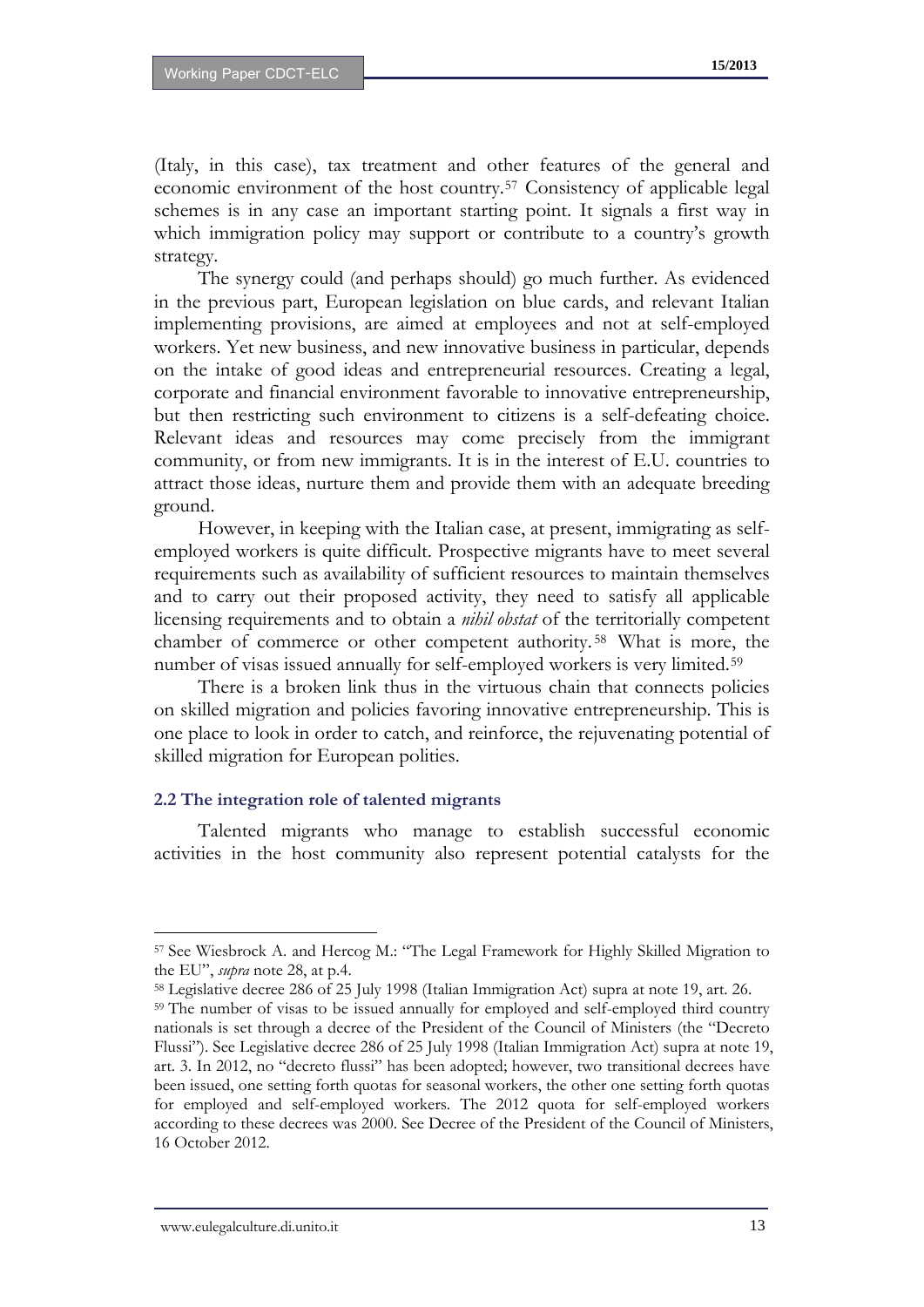(Italy, in this case), tax treatment and other features of the general and economic environment of the host country.[57](#page-13-4) Consistency of applicable legal schemes is in any case an important starting point. It signals a first way in which immigration policy may support or contribute to a country's growth strategy.

The synergy could (and perhaps should) go much further. As evidenced in the previous part, European legislation on blue cards, and relevant Italian implementing provisions, are aimed at employees and not at self-employed workers. Yet new business, and new innovative business in particular, depends on the intake of good ideas and entrepreneurial resources. Creating a legal, corporate and financial environment favorable to innovative entrepreneurship, but then restricting such environment to citizens is a self-defeating choice. Relevant ideas and resources may come precisely from the immigrant community, or from new immigrants. It is in the interest of E.U. countries to attract those ideas, nurture them and provide them with an adequate breeding ground.

However, in keeping with the Italian case, at present, immigrating as selfemployed workers is quite difficult. Prospective migrants have to meet several requirements such as availability of sufficient resources to maintain themselves and to carry out their proposed activity, they need to satisfy all applicable licensing requirements and to obtain a *nihil obstat* of the territorially competent chamber of commerce or other competent authority. [58](#page-14-0) What is more, the number of visas issued annually for self-employed workers is very limited.<sup>[59](#page-14-1)</sup>

There is a broken link thus in the virtuous chain that connects policies on skilled migration and policies favoring innovative entrepreneurship. This is one place to look in order to catch, and reinforce, the rejuvenating potential of skilled migration for European polities.

#### **2.2 The integration role of talented migrants**

<span id="page-14-2"></span>Talented migrants who manage to establish successful economic activities in the host community also represent potential catalysts for the

<sup>57</sup> See Wiesbrock A. and Hercog M.: "The Legal Framework for Highly Skilled Migration to the EU", *supra* note 28, at p.4.

<span id="page-14-1"></span><span id="page-14-0"></span><sup>58</sup> Legislative decree 286 of 25 July 1998 (Italian Immigration Act) supra at note 19, art. 26. 59 The number of visas to be issued annually for employed and self-employed third country nationals is set through a decree of the President of the Council of Ministers (the "Decreto Flussi"). See Legislative decree 286 of 25 July 1998 (Italian Immigration Act) supra at note 19, art. 3. In 2012, no "decreto flussi" has been adopted; however, two transitional decrees have been issued, one setting forth quotas for seasonal workers, the other one setting forth quotas for employed and self-employed workers. The 2012 quota for self-employed workers according to these decrees was 2000. See Decree of the President of the Council of Ministers, 16 October 2012.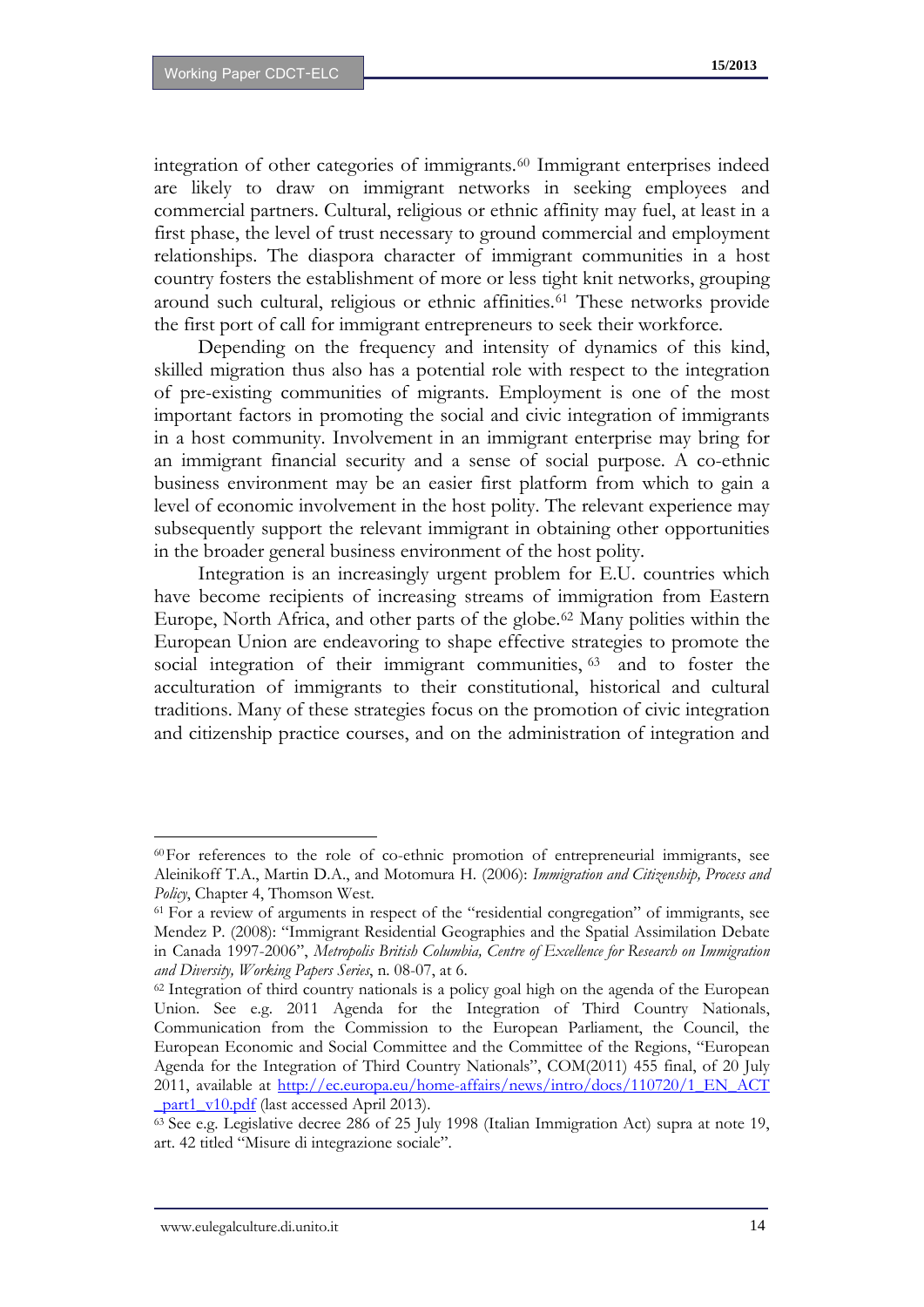integration of other categories of immigrants.[60](#page-14-2) Immigrant enterprises indeed are likely to draw on immigrant networks in seeking employees and commercial partners. Cultural, religious or ethnic affinity may fuel, at least in a first phase, the level of trust necessary to ground commercial and employment relationships. The diaspora character of immigrant communities in a host country fosters the establishment of more or less tight knit networks, grouping around such cultural, religious or ethnic affinities.[61](#page-15-0) These networks provide the first port of call for immigrant entrepreneurs to seek their workforce.

Depending on the frequency and intensity of dynamics of this kind, skilled migration thus also has a potential role with respect to the integration of pre-existing communities of migrants. Employment is one of the most important factors in promoting the social and civic integration of immigrants in a host community. Involvement in an immigrant enterprise may bring for an immigrant financial security and a sense of social purpose. A co-ethnic business environment may be an easier first platform from which to gain a level of economic involvement in the host polity. The relevant experience may subsequently support the relevant immigrant in obtaining other opportunities in the broader general business environment of the host polity.

Integration is an increasingly urgent problem for E.U. countries which have become recipients of increasing streams of immigration from Eastern Europe, North Africa, and other parts of the globe.<sup>[62](#page-15-1)</sup> Many polities within the European Union are endeavoring to shape effective strategies to promote the social integration of their immigrant communities, [63](#page-15-2) and to foster the acculturation of immigrants to their constitutional, historical and cultural traditions. Many of these strategies focus on the promotion of civic integration and citizenship practice courses, and on the administration of integration and

<sup>60</sup>For references to the role of co-ethnic promotion of entrepreneurial immigrants, see Aleinikoff T.A., Martin D.A., and Motomura H. (2006): *Immigration and Citizenship, Process and Policy*, Chapter 4, Thomson West.

<span id="page-15-0"></span><sup>61</sup> For a review of arguments in respect of the "residential congregation" of immigrants, see Mendez P. (2008): "Immigrant Residential Geographies and the Spatial Assimilation Debate in Canada 1997-2006", *Metropolis British Columbia, Centre of Excellence for Research on Immigration and Diversity, Working Papers Series*, n. 08-07, at 6.

<span id="page-15-3"></span><span id="page-15-1"></span><sup>62</sup> Integration of third country nationals is a policy goal high on the agenda of the European Union. See e.g. 2011 Agenda for the Integration of Third Country Nationals, Communication from the Commission to the European Parliament, the Council, the European Economic and Social Committee and the Committee of the Regions, "European Agenda for the Integration of Third Country Nationals", COM(2011) 455 final, of 20 July 2011, available at http://ec.europa.eu/home-affairs/news/intro/docs/110720/1\_EN\_ACT part1\_v10.pdf (last accessed April 2013).

<span id="page-15-2"></span><sup>63</sup> See e.g. Legislative decree 286 of 25 July 1998 (Italian Immigration Act) supra at note 19, art. 42 titled "Misure di integrazione sociale".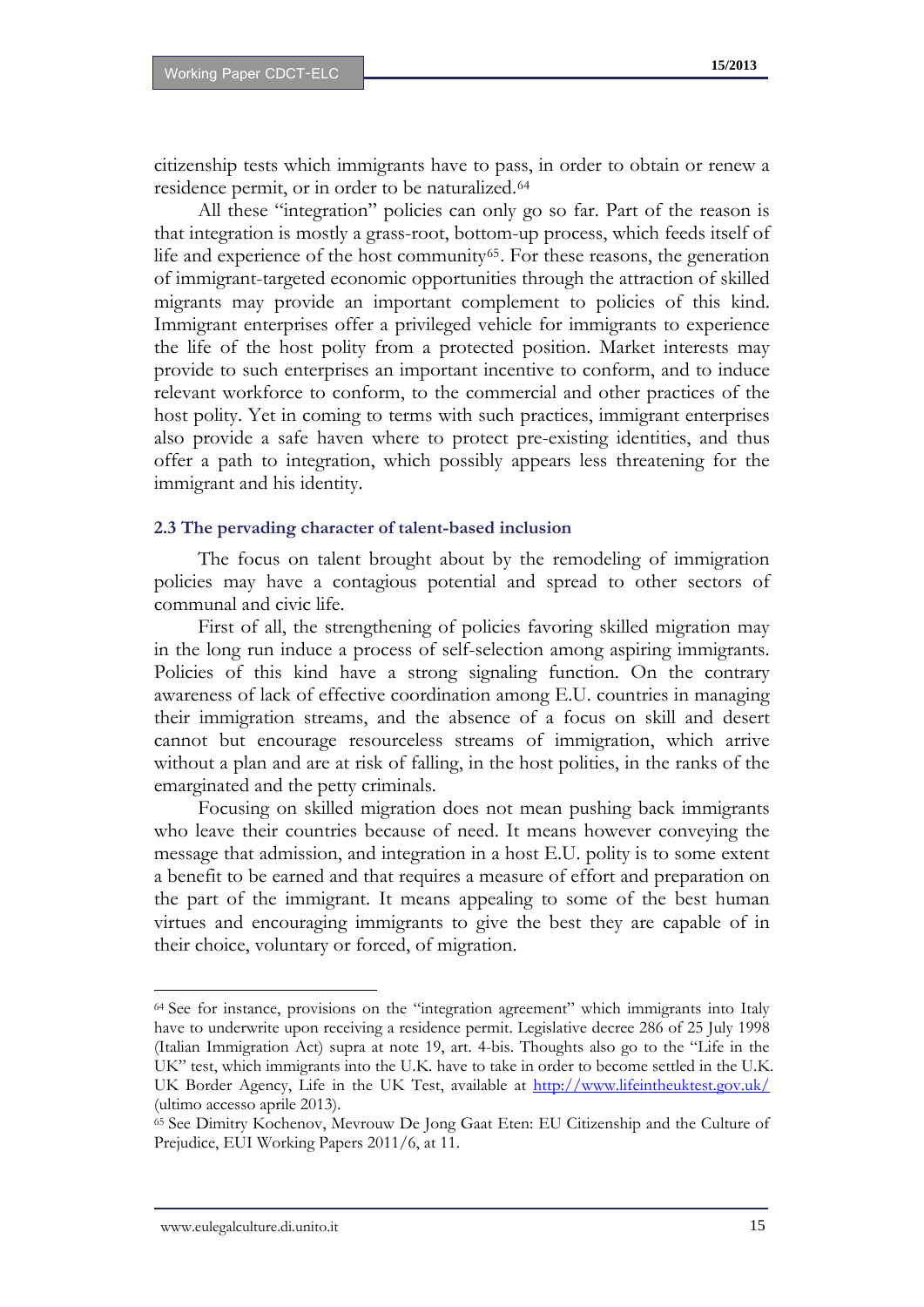citizenship tests which immigrants have to pass, in order to obtain or renew a residence permit, or in order to be naturalized.<sup>[64](#page-15-3)</sup>

All these "integration" policies can only go so far. Part of the reason is that integration is mostly a grass-root, bottom-up process, which feeds itself of life and experience of the host community<sup>[65](#page-16-0)</sup>. For these reasons, the generation of immigrant-targeted economic opportunities through the attraction of skilled migrants may provide an important complement to policies of this kind. Immigrant enterprises offer a privileged vehicle for immigrants to experience the life of the host polity from a protected position. Market interests may provide to such enterprises an important incentive to conform, and to induce relevant workforce to conform, to the commercial and other practices of the host polity. Yet in coming to terms with such practices, immigrant enterprises also provide a safe haven where to protect pre-existing identities, and thus offer a path to integration, which possibly appears less threatening for the immigrant and his identity.

#### **2.3 The pervading character of talent-based inclusion**

The focus on talent brought about by the remodeling of immigration policies may have a contagious potential and spread to other sectors of communal and civic life.

First of all, the strengthening of policies favoring skilled migration may in the long run induce a process of self-selection among aspiring immigrants. Policies of this kind have a strong signaling function. On the contrary awareness of lack of effective coordination among E.U. countries in managing their immigration streams, and the absence of a focus on skill and desert cannot but encourage resourceless streams of immigration, which arrive without a plan and are at risk of falling, in the host polities, in the ranks of the emarginated and the petty criminals.

Focusing on skilled migration does not mean pushing back immigrants who leave their countries because of need. It means however conveying the message that admission, and integration in a host E.U. polity is to some extent a benefit to be earned and that requires a measure of effort and preparation on the part of the immigrant. It means appealing to some of the best human virtues and encouraging immigrants to give the best they are capable of in their choice, voluntary or forced, of migration.

<span id="page-16-1"></span><sup>64</sup> See for instance, provisions on the "integration agreement" which immigrants into Italy have to underwrite upon receiving a residence permit. Legislative decree 286 of 25 July 1998 (Italian Immigration Act) supra at note 19, art. 4-bis. Thoughts also go to the "Life in the UK" test, which immigrants into the U.K. have to take in order to become settled in the U.K. UK Border Agency, Life in the UK Test, available at <http://www.lifeintheuktest.gov.uk/> (ultimo accesso aprile 2013).

<span id="page-16-0"></span><sup>65</sup> See Dimitry Kochenov, Mevrouw De Jong Gaat Eten: EU Citizenship and the Culture of Prejudice, EUI Working Papers 2011/6, at 11.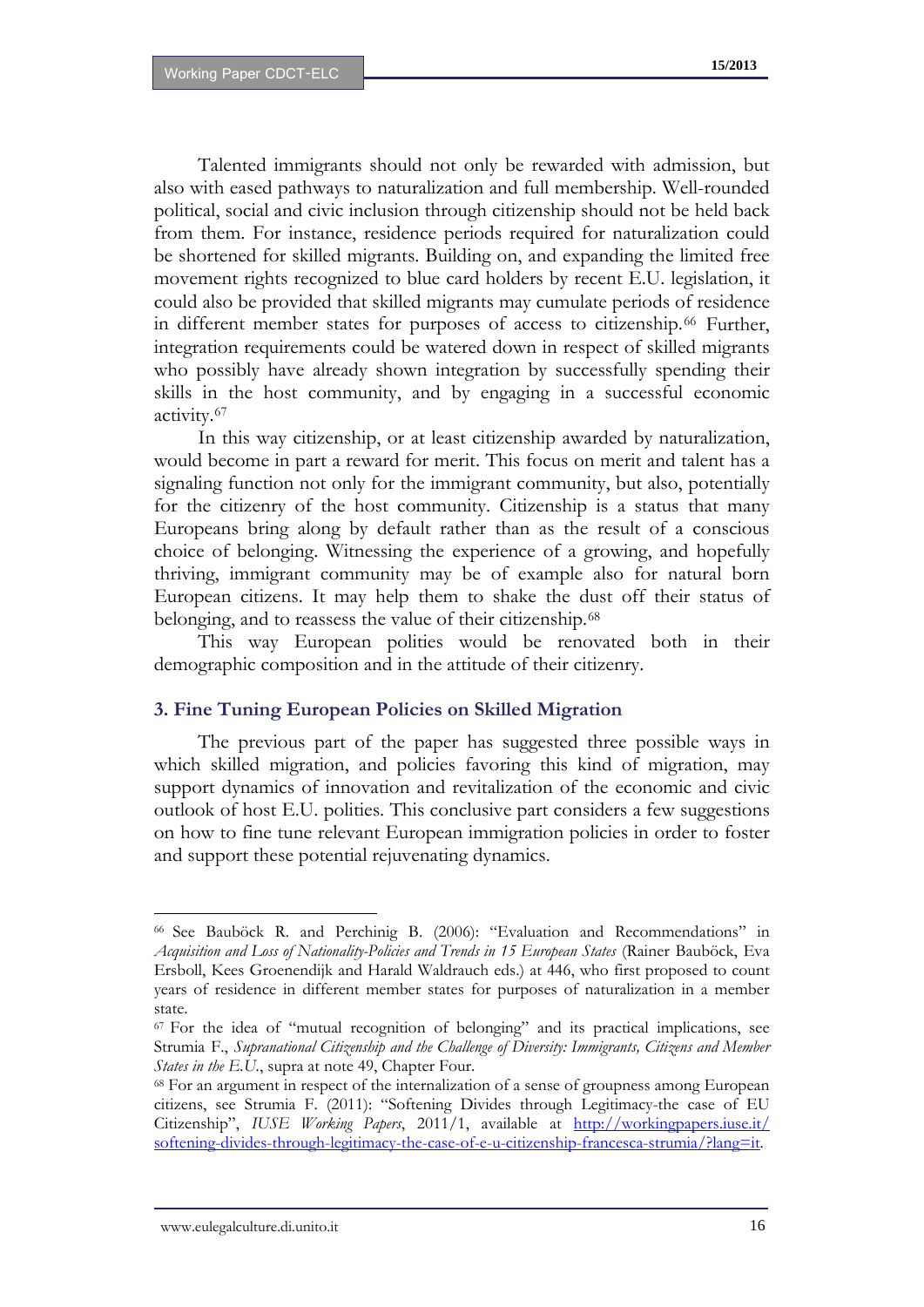Talented immigrants should not only be rewarded with admission, but also with eased pathways to naturalization and full membership. Well-rounded political, social and civic inclusion through citizenship should not be held back from them. For instance, residence periods required for naturalization could be shortened for skilled migrants. Building on, and expanding the limited free movement rights recognized to blue card holders by recent E.U. legislation, it could also be provided that skilled migrants may cumulate periods of residence in different member states for purposes of access to citizenship.[66](#page-16-1) Further, integration requirements could be watered down in respect of skilled migrants who possibly have already shown integration by successfully spending their skills in the host community, and by engaging in a successful economic activity.[67](#page-17-0)

In this way citizenship, or at least citizenship awarded by naturalization, would become in part a reward for merit. This focus on merit and talent has a signaling function not only for the immigrant community, but also, potentially for the citizenry of the host community. Citizenship is a status that many Europeans bring along by default rather than as the result of a conscious choice of belonging. Witnessing the experience of a growing, and hopefully thriving, immigrant community may be of example also for natural born European citizens. It may help them to shake the dust off their status of belonging, and to reassess the value of their citizenship.[68](#page-17-1)

This way European polities would be renovated both in their demographic composition and in the attitude of their citizenry.

#### **3. Fine Tuning European Policies on Skilled Migration**

The previous part of the paper has suggested three possible ways in which skilled migration, and policies favoring this kind of migration, may support dynamics of innovation and revitalization of the economic and civic outlook of host E.U. polities. This conclusive part considers a few suggestions on how to fine tune relevant European immigration policies in order to foster and support these potential rejuvenating dynamics.

<sup>66</sup> See Bauböck R. and Perchinig B. (2006): "Evaluation and Recommendations" in *Acquisition and Loss of Nationality-Policies and Trends in 15 European States* (Rainer Bauböck, Eva Ersboll, Kees Groenendijk and Harald Waldrauch eds.) at 446, who first proposed to count years of residence in different member states for purposes of naturalization in a member state.

<span id="page-17-2"></span><span id="page-17-0"></span><sup>67</sup> For the idea of "mutual recognition of belonging" and its practical implications, see Strumia F., *Supranational Citizenship and the Challenge of Diversity: Immigrants, Citizens and Member States in the E.U.*, supra at note 49, Chapter Four.

<span id="page-17-1"></span><sup>68</sup> For an argument in respect of the internalization of a sense of groupness among European citizens, see Strumia F. (2011): "Softening Divides through Legitimacy-the case of EU Citizenship", *IUSE Working Papers*, 2011/1, available at [http://workingpapers.iuse.it/](http://workingpapers.iuse.it/%20softening-divides-through-legitimacy-the-case-of-e-u-citizenship-francesca-strumia/?lang=it)  [softening-divides-through-legitimacy-the-case-of-e-u-citizenship-francesca-strumia/?lang=it.](http://workingpapers.iuse.it/%20softening-divides-through-legitimacy-the-case-of-e-u-citizenship-francesca-strumia/?lang=it)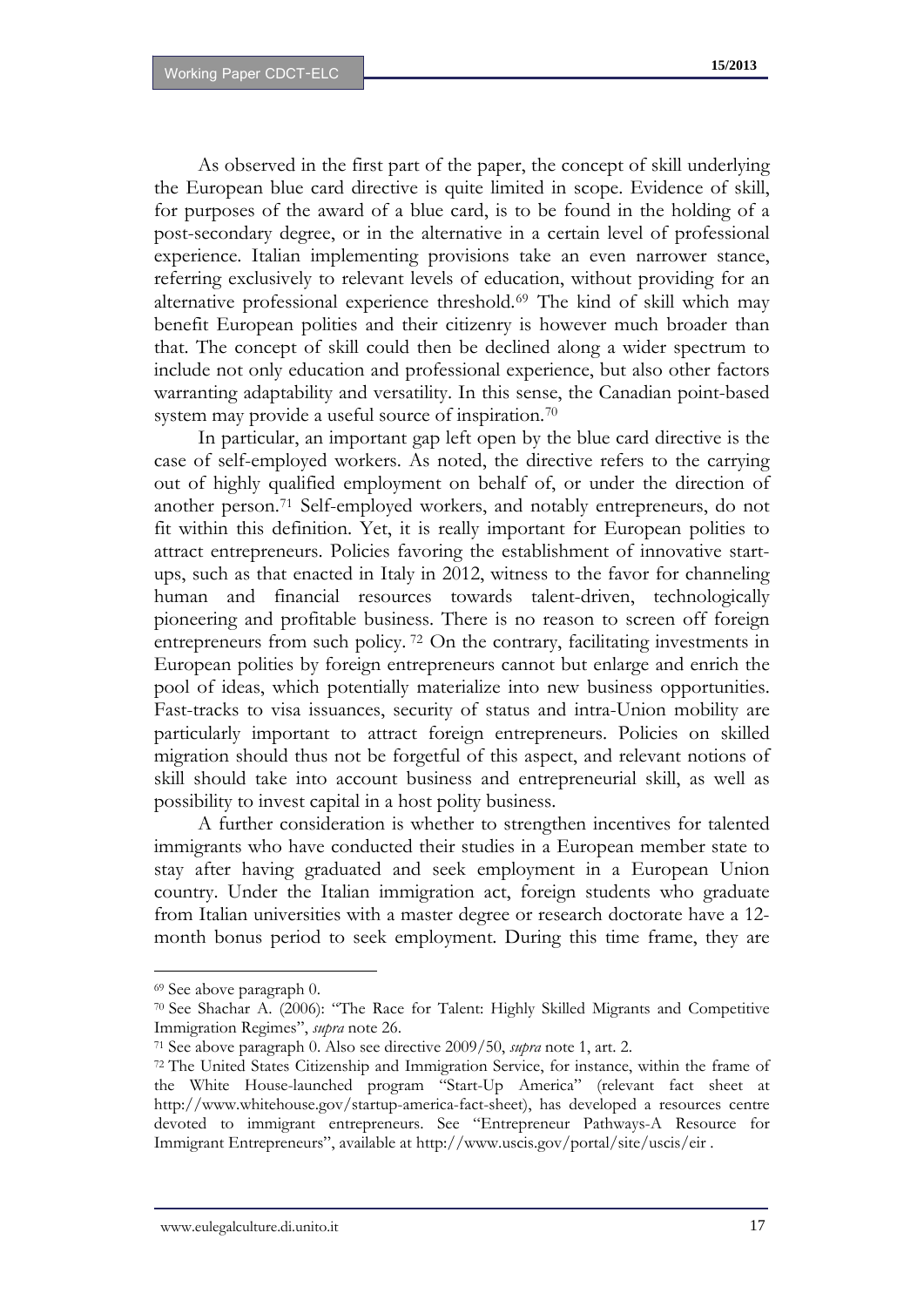As observed in the first part of the paper, the concept of skill underlying the European blue card directive is quite limited in scope. Evidence of skill, for purposes of the award of a blue card, is to be found in the holding of a post-secondary degree, or in the alternative in a certain level of professional experience. Italian implementing provisions take an even narrower stance, referring exclusively to relevant levels of education, without providing for an alternative professional experience threshold.[69](#page-17-2) The kind of skill which may benefit European polities and their citizenry is however much broader than that. The concept of skill could then be declined along a wider spectrum to include not only education and professional experience, but also other factors warranting adaptability and versatility. In this sense, the Canadian point-based system may provide a useful source of inspiration.<sup>[70](#page-18-0)</sup>

In particular, an important gap left open by the blue card directive is the case of self-employed workers. As noted, the directive refers to the carrying out of highly qualified employment on behalf of, or under the direction of another person.[71](#page-18-1) Self-employed workers, and notably entrepreneurs, do not fit within this definition. Yet, it is really important for European polities to attract entrepreneurs. Policies favoring the establishment of innovative startups, such as that enacted in Italy in 2012, witness to the favor for channeling human and financial resources towards talent-driven, technologically pioneering and profitable business. There is no reason to screen off foreign entrepreneurs from such policy. [72](#page-18-2) On the contrary, facilitating investments in European polities by foreign entrepreneurs cannot but enlarge and enrich the pool of ideas, which potentially materialize into new business opportunities. Fast-tracks to visa issuances, security of status and intra-Union mobility are particularly important to attract foreign entrepreneurs. Policies on skilled migration should thus not be forgetful of this aspect, and relevant notions of skill should take into account business and entrepreneurial skill, as well as possibility to invest capital in a host polity business.

<span id="page-18-3"></span>A further consideration is whether to strengthen incentives for talented immigrants who have conducted their studies in a European member state to stay after having graduated and seek employment in a European Union country. Under the Italian immigration act, foreign students who graduate from Italian universities with a master degree or research doctorate have a 12 month bonus period to seek employment. During this time frame, they are

<sup>69</sup> See above paragraph 0.

<span id="page-18-0"></span><sup>70</sup> See Shachar A. (2006): "The Race for Talent: Highly Skilled Migrants and Competitive Immigration Regimes", *supra* note 26.

<span id="page-18-1"></span><sup>71</sup> See above paragraph 0. Also see directive 2009/50, *supra* note 1, art. 2.

<span id="page-18-2"></span><sup>72</sup> The United States Citizenship and Immigration Service, for instance, within the frame of the White House-launched program "Start-Up America" (relevant fact sheet at http://www.whitehouse.gov/startup-america-fact-sheet), has developed a resources centre devoted to immigrant entrepreneurs. See "Entrepreneur Pathways-A Resource for Immigrant Entrepreneurs", available at http://www.uscis.gov/portal/site/uscis/eir .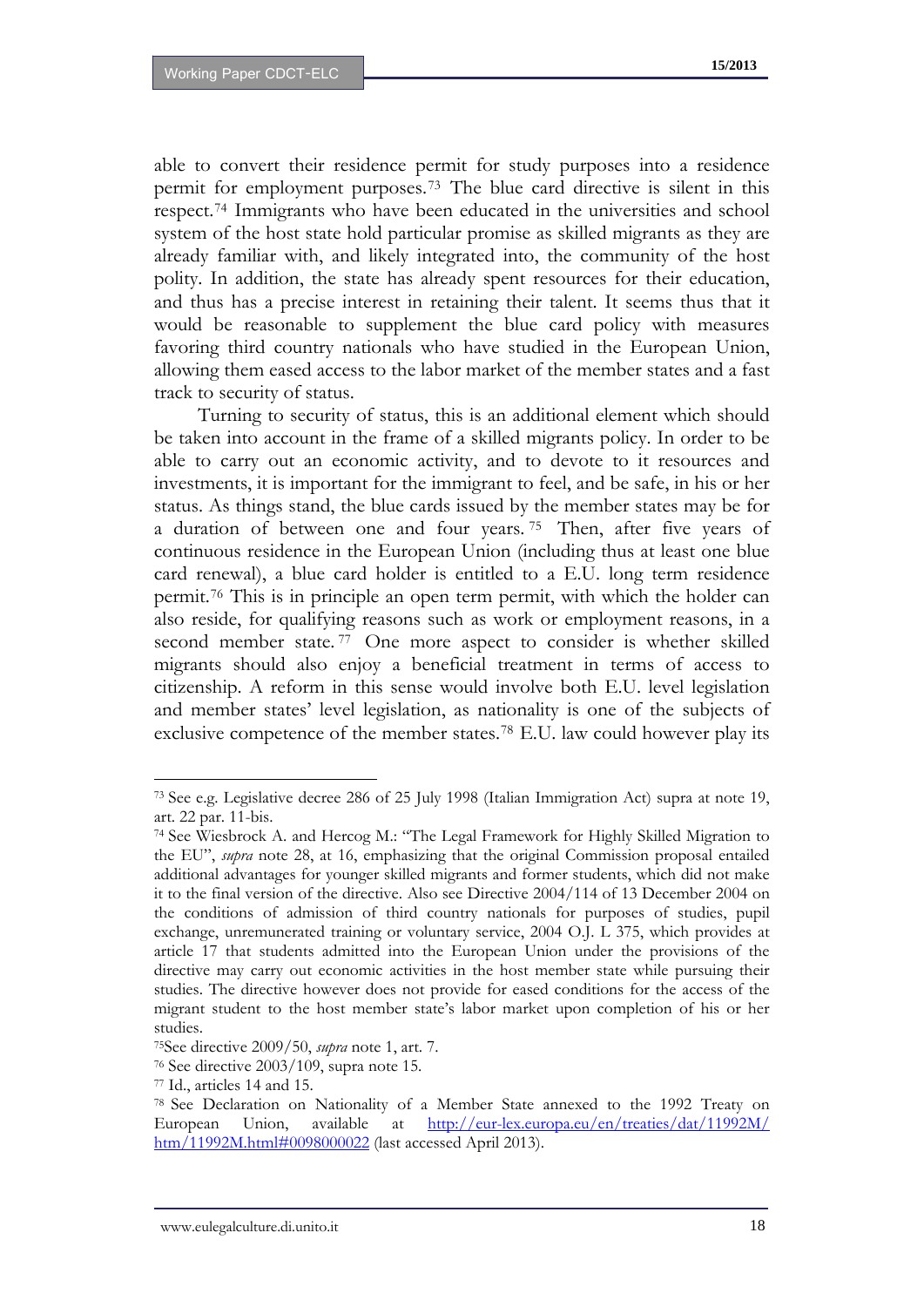able to convert their residence permit for study purposes into a residence permit for employment purposes.[73](#page-18-3) The blue card directive is silent in this respect.[74](#page-19-0) Immigrants who have been educated in the universities and school system of the host state hold particular promise as skilled migrants as they are already familiar with, and likely integrated into, the community of the host polity. In addition, the state has already spent resources for their education, and thus has a precise interest in retaining their talent. It seems thus that it would be reasonable to supplement the blue card policy with measures favoring third country nationals who have studied in the European Union, allowing them eased access to the labor market of the member states and a fast track to security of status.

Turning to security of status, this is an additional element which should be taken into account in the frame of a skilled migrants policy. In order to be able to carry out an economic activity, and to devote to it resources and investments, it is important for the immigrant to feel, and be safe, in his or her status. As things stand, the blue cards issued by the member states may be for a duration of between one and four years. [75](#page-19-1) Then, after five years of continuous residence in the European Union (including thus at least one blue card renewal), a blue card holder is entitled to a E.U. long term residence permit.[76](#page-19-2) This is in principle an open term permit, with which the holder can also reside, for qualifying reasons such as work or employment reasons, in a second member state.<sup>[77](#page-19-3)</sup> One more aspect to consider is whether skilled migrants should also enjoy a beneficial treatment in terms of access to citizenship. A reform in this sense would involve both E.U. level legislation and member states' level legislation, as nationality is one of the subjects of exclusive competence of the member states.[78](#page-19-4) E.U. law could however play its

<sup>73</sup> See e.g. Legislative decree 286 of 25 July 1998 (Italian Immigration Act) supra at note 19, art. 22 par. 11-bis.

<span id="page-19-0"></span><sup>74</sup> See Wiesbrock A. and Hercog M.: "The Legal Framework for Highly Skilled Migration to the EU", *supra* note 28, at 16, emphasizing that the original Commission proposal entailed additional advantages for younger skilled migrants and former students, which did not make it to the final version of the directive. Also see Directive 2004/114 of 13 December 2004 on the conditions of admission of third country nationals for purposes of studies, pupil exchange, unremunerated training or voluntary service, 2004 O.J. L 375, which provides at article 17 that students admitted into the European Union under the provisions of the directive may carry out economic activities in the host member state while pursuing their studies. The directive however does not provide for eased conditions for the access of the migrant student to the host member state's labor market upon completion of his or her studies.

<span id="page-19-1"></span><sup>75</sup>See directive 2009/50, *supra* note 1, art. 7.

<span id="page-19-2"></span><sup>76</sup> See directive 2003/109, supra note 15.

<span id="page-19-3"></span><sup>77</sup> Id., articles 14 and 15.

<span id="page-19-4"></span><sup>78</sup> See Declaration on Nationality of a Member State annexed to the 1992 Treaty on European Union, available at [http://eur-lex.europa.eu/en/treaties/dat/11992M/](http://eur-lex.europa.eu/en/treaties/dat/11992M/ htm/11992M.html#0098000022)  [htm/11992M.html#0098000022](http://eur-lex.europa.eu/en/treaties/dat/11992M/ htm/11992M.html#0098000022) (last accessed April 2013).